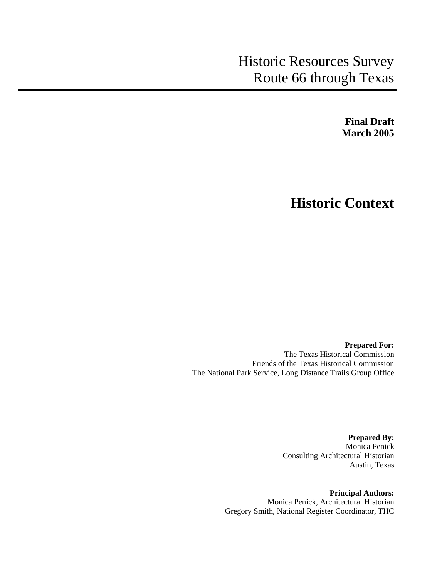# Historic Resources Survey Route 66 through Texas

**Final Draft March 2005**

# **Historic Context**

**Prepared For:** The Texas Historical Commission Friends of the Texas Historical Commission The National Park Service, Long Distance Trails Group Office

> **Prepared By:** Monica Penick Consulting Architectural Historian Austin, Texas

**Principal Authors:** Monica Penick, Architectural Historian Gregory Smith, National Register Coordinator, THC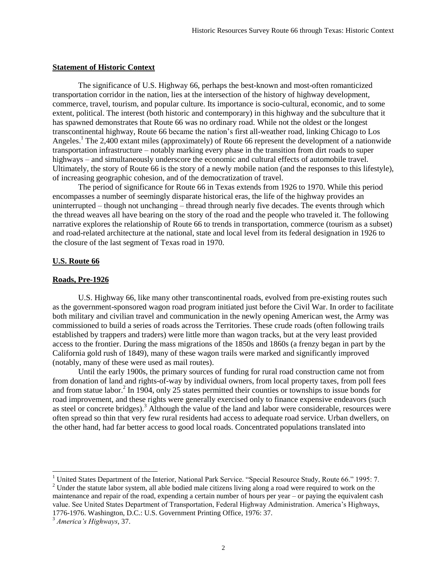#### **Statement of Historic Context**

The significance of U.S. Highway 66, perhaps the best-known and most-often romanticized transportation corridor in the nation, lies at the intersection of the history of highway development, commerce, travel, tourism, and popular culture. Its importance is socio-cultural, economic, and to some extent, political. The interest (both historic and contemporary) in this highway and the subculture that it has spawned demonstrates that Route 66 was no ordinary road. While not the oldest or the longest transcontinental highway, Route 66 became the nation's first all-weather road, linking Chicago to Los Angeles.<sup>1</sup> The 2,400 extant miles (approximately) of Route 66 represent the development of a nationwide transportation infrastructure – notably marking every phase in the transition from dirt roads to super highways – and simultaneously underscore the economic and cultural effects of automobile travel. Ultimately, the story of Route 66 is the story of a newly mobile nation (and the responses to this lifestyle), of increasing geographic cohesion, and of the democratization of travel.

The period of significance for Route 66 in Texas extends from 1926 to 1970. While this period encompasses a number of seemingly disparate historical eras, the life of the highway provides an uninterrupted – though not unchanging – thread through nearly five decades. The events through which the thread weaves all have bearing on the story of the road and the people who traveled it. The following narrative explores the relationship of Route 66 to trends in transportation, commerce (tourism as a subset) and road-related architecture at the national, state and local level from its federal designation in 1926 to the closure of the last segment of Texas road in 1970.

# **U.S. Route 66**

# **Roads, Pre-1926**

U.S. Highway 66, like many other transcontinental roads, evolved from pre-existing routes such as the government-sponsored wagon road program initiated just before the Civil War. In order to facilitate both military and civilian travel and communication in the newly opening American west, the Army was commissioned to build a series of roads across the Territories. These crude roads (often following trails established by trappers and traders) were little more than wagon tracks, but at the very least provided access to the frontier. During the mass migrations of the 1850s and 1860s (a frenzy began in part by the California gold rush of 1849), many of these wagon trails were marked and significantly improved (notably, many of these were used as mail routes).

Until the early 1900s, the primary sources of funding for rural road construction came not from from donation of land and rights-of-way by individual owners, from local property taxes, from poll fees and from statue labor.<sup>2</sup> In 1904, only 25 states permitted their counties or townships to issue bonds for road improvement, and these rights were generally exercised only to finance expensive endeavors (such as steel or concrete bridges).<sup>3</sup> Although the value of the land and labor were considerable, resources were often spread so thin that very few rural residents had access to adequate road service. Urban dwellers, on the other hand, had far better access to good local roads. Concentrated populations translated into

<sup>2</sup> Under the statute labor system, all able bodied male citizens living along a road were required to work on the maintenance and repair of the road, expending a certain number of hours per year – or paying the equivalent cash value. See United States Department of Transportation, Federal Highway Administration. America's Highways, 1776-1976. Washington, D.C.: U.S. Government Printing Office, 1976: 37.

<sup>&</sup>lt;sup>1</sup> United States Department of the Interior, National Park Service. "Special Resource Study, Route 66." 1995: 7.

<sup>3</sup> *America's Highways*, 37.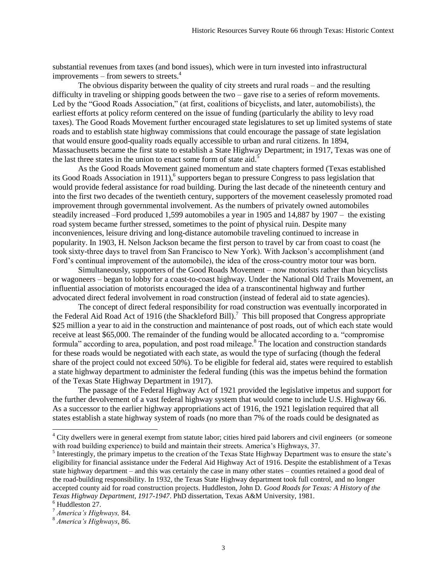substantial revenues from taxes (and bond issues), which were in turn invested into infrastructural improvements – from sewers to streets.<sup>4</sup>

The obvious disparity between the quality of city streets and rural roads – and the resulting difficulty in traveling or shipping goods between the two – gave rise to a series of reform movements. Led by the "Good Roads Association," (at first, coalitions of bicyclists, and later, automobilists), the earliest efforts at policy reform centered on the issue of funding (particularly the ability to levy road taxes). The Good Roads Movement further encouraged state legislatures to set up limited systems of state roads and to establish state highway commissions that could encourage the passage of state legislation that would ensure good-quality roads equally accessible to urban and rural citizens. In 1894, Massachusetts became the first state to establish a State Highway Department; in 1917, Texas was one of the last three states in the union to enact some form of state aid.<sup>5</sup>

As the Good Roads Movement gained momentum and state chapters formed (Texas established its Good Roads Association in 1911),<sup>6</sup> supporters began to pressure Congress to pass legislation that would provide federal assistance for road building. During the last decade of the nineteenth century and into the first two decades of the twentieth century, supporters of the movement ceaselessly promoted road improvement through governmental involvement. As the numbers of privately owned automobiles steadily increased –Ford produced 1,599 automobiles a year in 1905 and 14,887 by 1907 – the existing road system became further stressed, sometimes to the point of physical ruin. Despite many inconveniences, leisure driving and long-distance automobile traveling continued to increase in popularity. In 1903, H. Nelson Jackson became the first person to travel by car from coast to coast (he took sixty-three days to travel from San Francisco to New York). With Jackson's accomplishment (and Ford's continual improvement of the automobile), the idea of the cross-country motor tour was born.

Simultaneously, supporters of the Good Roads Movement – now motorists rather than bicyclists or wagoneers – began to lobby for a coast-to-coast highway. Under the National Old Trails Movement, an influential association of motorists encouraged the idea of a transcontinental highway and further advocated direct federal involvement in road construction (instead of federal aid to state agencies).

The concept of direct federal responsibility for road construction was eventually incorporated in the Federal Aid Road Act of 1916 (the Shackleford Bill).<sup>7</sup> This bill proposed that Congress appropriate \$25 million a year to aid in the construction and maintenance of post roads, out of which each state would receive at least \$65,000. The remainder of the funding would be allocated according to a. "compromise formula" according to area, population, and post road mileage.<sup>8</sup> The location and construction standards for these roads would be negotiated with each state, as would the type of surfacing (though the federal share of the project could not exceed 50%). To be eligible for federal aid, states were required to establish a state highway department to administer the federal funding (this was the impetus behind the formation of the Texas State Highway Department in 1917).

The passage of the Federal Highway Act of 1921 provided the legislative impetus and support for the further devolvement of a vast federal highway system that would come to include U.S. Highway 66. As a successor to the earlier highway appropriations act of 1916, the 1921 legislation required that all states establish a state highway system of roads (no more than 7% of the roads could be designated as

<sup>&</sup>lt;sup>4</sup> City dwellers were in general exempt from statute labor; cities hired paid laborers and civil engineers (or someone with road building experience) to build and maintain their streets. America's Highways, 37.

<sup>&</sup>lt;sup>5</sup> Interestingly, the primary impetus to the creation of the Texas State Highway Department was to ensure the state's eligibility for financial assistance under the Federal Aid Highway Act of 1916. Despite the establishment of a Texas state highway department – and this was certainly the case in many other states – counties retained a good deal of the road-building responsibility. In 1932, the Texas State Highway department took full control, and no longer accepted county aid for road construction projects. Huddleston, John D. *Good Roads for Texas: A History of the Texas Highway Department, 1917-1947*. PhD dissertation, Texas A&M University, 1981.

<sup>6</sup> Huddleston 27.

<sup>7</sup> *America's Highways,* 84.

<sup>8</sup> *America's Highways*, 86.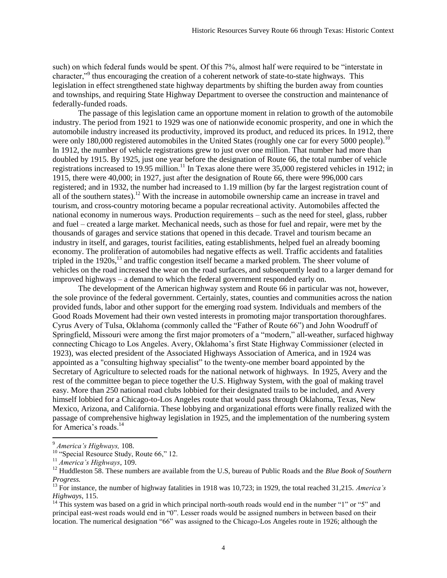such) on which federal funds would be spent. Of this 7%, almost half were required to be "interstate in character,"<sup>9</sup> thus encouraging the creation of a coherent network of state-to-state highways. This legislation in effect strengthened state highway departments by shifting the burden away from counties and townships, and requiring State Highway Department to oversee the construction and maintenance of federally-funded roads.

The passage of this legislation came an opportune moment in relation to growth of the automobile industry. The period from 1921 to 1929 was one of nationwide economic prosperity, and one in which the automobile industry increased its productivity, improved its product, and reduced its prices. In 1912, there were only 180,000 registered automobiles in the United States (roughly one car for every 5000 people).<sup>10</sup> In 1912, the number of vehicle registrations grew to just over one million. That number had more than doubled by 1915. By 1925, just one year before the designation of Route 66, the total number of vehicle registrations increased to 19.95 million.<sup>11</sup> In Texas alone there were 35,000 registered vehicles in 1912; in 1915, there were 40,000; in 1927, just after the designation of Route 66, there were 996,000 cars registered; and in 1932, the number had increased to 1.19 million (by far the largest registration count of all of the southern states).<sup>12</sup> With the increase in automobile ownership came an increase in travel and tourism, and cross-country motoring became a popular recreational activity. Automobiles affected the national economy in numerous ways. Production requirements – such as the need for steel, glass, rubber and fuel – created a large market. Mechanical needs, such as those for fuel and repair, were met by the thousands of garages and service stations that opened in this decade. Travel and tourism became an industry in itself, and garages, tourist facilities, eating establishments, helped fuel an already booming economy. The proliferation of automobiles had negative effects as well. Traffic accidents and fatalities tripled in the  $1920s$ ,<sup>13</sup> and traffic congestion itself became a marked problem. The sheer volume of vehicles on the road increased the wear on the road surfaces, and subsequently lead to a larger demand for improved highways – a demand to which the federal government responded early on.

The development of the American highway system and Route 66 in particular was not, however, the sole province of the federal government. Certainly, states, counties and communities across the nation provided funds, labor and other support for the emerging road system. Individuals and members of the Good Roads Movement had their own vested interests in promoting major transportation thoroughfares. Cyrus Avery of Tulsa, Oklahoma (commonly called the "Father of Route 66") and John Woodruff of Springfield, Missouri were among the first major promoters of a "modern," all-weather, surfaced highway connecting Chicago to Los Angeles. Avery, Oklahoma's first State Highway Commissioner (elected in 1923), was elected president of the Associated Highways Association of America, and in 1924 was appointed as a "consulting highway specialist" to the twenty-one member board appointed by the Secretary of Agriculture to selected roads for the national network of highways. In 1925, Avery and the rest of the committee began to piece together the U.S. Highway System, with the goal of making travel easy. More than 250 national road clubs lobbied for their designated trails to be included, and Avery himself lobbied for a Chicago-to-Los Angeles route that would pass through Oklahoma, Texas, New Mexico, Arizona, and California. These lobbying and organizational efforts were finally realized with the passage of comprehensive highway legislation in 1925, and the implementation of the numbering system for America's roads.<sup>14</sup>

 $\overline{a}$ 

<sup>9</sup> *America's Highways,* 108.

 $10$  "Special Resource Study, Route 66," 12.

<sup>11</sup> *America's Highways*, 109.

<sup>&</sup>lt;sup>12</sup> Huddleston 58. These numbers are available from the U.S, bureau of Public Roads and the *Blue Book of Southern Progress.*

<sup>13</sup> For instance, the number of highway fatalities in 1918 was 10,723; in 1929, the total reached 31,215. *America's Highways*, 115.

<sup>&</sup>lt;sup>14</sup> This system was based on a grid in which principal north-south roads would end in the number "1" or "5" and principal east-west roads would end in "0". Lesser roads would be assigned numbers in between based on their location. The numerical designation "66" was assigned to the Chicago-Los Angeles route in 1926; although the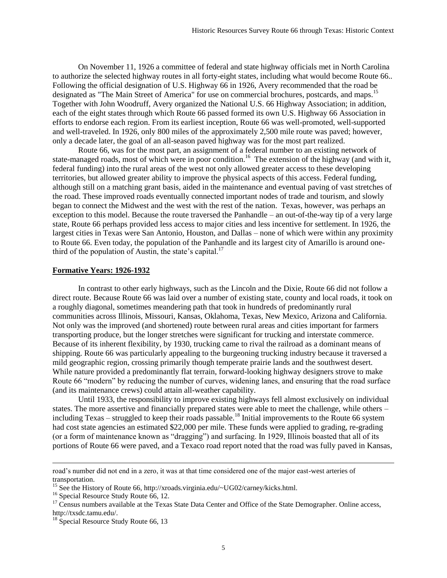On November 11, 1926 a committee of federal and state highway officials met in North Carolina to authorize the selected highway routes in all forty-eight states, including what would become Route 66.. Following the official designation of U.S. Highway 66 in 1926, Avery recommended that the road be designated as "The Main Street of America" for use on commercial brochures, postcards, and maps.<sup>15</sup> Together with John Woodruff, Avery organized the National U.S. 66 Highway Association; in addition, each of the eight states through which Route 66 passed formed its own U.S. Highway 66 Association in efforts to endorse each region. From its earliest inception, Route 66 was well-promoted, well-supported and well-traveled. In 1926, only 800 miles of the approximately 2,500 mile route was paved; however, only a decade later, the goal of an all-season paved highway was for the most part realized.

Route 66, was for the most part, an assignment of a federal number to an existing network of state-managed roads, most of which were in poor condition.<sup>16</sup> The extension of the highway (and with it, federal funding) into the rural areas of the west not only allowed greater access to these developing territories, but allowed greater ability to improve the physical aspects of this access. Federal funding, although still on a matching grant basis, aided in the maintenance and eventual paving of vast stretches of the road. These improved roads eventually connected important nodes of trade and tourism, and slowly began to connect the Midwest and the west with the rest of the nation. Texas, however, was perhaps an exception to this model. Because the route traversed the Panhandle – an out-of-the-way tip of a very large state, Route 66 perhaps provided less access to major cities and less incentive for settlement. In 1926, the largest cities in Texas were San Antonio, Houston, and Dallas – none of which were within any proximity to Route 66. Even today, the population of the Panhandle and its largest city of Amarillo is around onethird of the population of Austin, the state's capital. $^{17}$ 

#### **Formative Years: 1926-1932**

In contrast to other early highways, such as the Lincoln and the Dixie, Route 66 did not follow a direct route. Because Route 66 was laid over a number of existing state, county and local roads, it took on a roughly diagonal, sometimes meandering path that took in hundreds of predominantly rural communities across Illinois, Missouri, Kansas, Oklahoma, Texas, New Mexico, Arizona and California. Not only was the improved (and shortened) route between rural areas and cities important for farmers transporting produce, but the longer stretches were significant for trucking and interstate commerce. Because of its inherent flexibility, by 1930, trucking came to rival the railroad as a dominant means of shipping. Route 66 was particularly appealing to the burgeoning trucking industry because it traversed a mild geographic region, crossing primarily though temperate prairie lands and the southwest desert. While nature provided a predominantly flat terrain, forward-looking highway designers strove to make Route 66 "modern" by reducing the number of curves, widening lanes, and ensuring that the road surface (and its maintenance crews) could attain all-weather capability.

Until 1933, the responsibility to improve existing highways fell almost exclusively on individual states. The more assertive and financially prepared states were able to meet the challenge, while others – including Texas – struggled to keep their roads passable.<sup>18</sup> Initial improvements to the Route 66 system had cost state agencies an estimated \$22,000 per mile. These funds were applied to grading, re-grading (or a form of maintenance known as "dragging") and surfacing. In 1929, Illinois boasted that all of its portions of Route 66 were paved, and a Texaco road report noted that the road was fully paved in Kansas,

road's number did not end in a zero, it was at that time considered one of the major east-west arteries of transportation.

<sup>&</sup>lt;sup>15</sup> See the History of Route 66, http://xroads.virginia.edu/~UG02/carney/kicks.html.

<sup>&</sup>lt;sup>16</sup> Special Resource Study Route 66, 12.

<sup>&</sup>lt;sup>17</sup> Census numbers available at the Texas State Data Center and Office of the State Demographer. Online access, http://txsdc.tamu.edu/.

 $18$  Special Resource Study Route 66, 13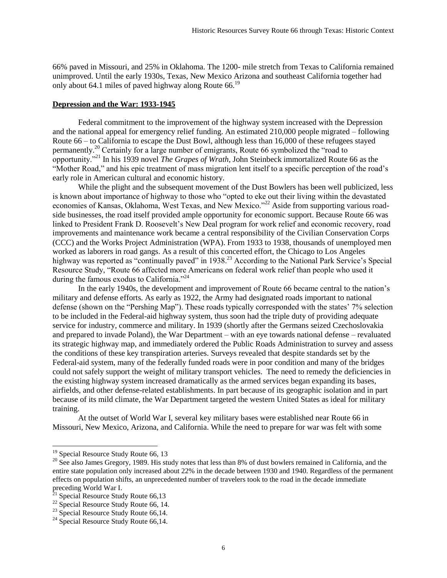66% paved in Missouri, and 25% in Oklahoma. The 1200- mile stretch from Texas to California remained unimproved. Until the early 1930s, Texas, New Mexico Arizona and southeast California together had only about 64.1 miles of paved highway along Route 66.<sup>19</sup>

#### **Depression and the War: 1933-1945**

Federal commitment to the improvement of the highway system increased with the Depression and the national appeal for emergency relief funding. An estimated 210,000 people migrated – following Route 66 – to California to escape the Dust Bowl, although less than 16,000 of these refugees stayed permanently.<sup>20</sup> Certainly for a large number of emigrants, Route 66 symbolized the "road to opportunity."<sup>21</sup> In his 1939 novel *The Grapes of Wrath,* John Steinbeck immortalized Route 66 as the "Mother Road," and his epic treatment of mass migration lent itself to a specific perception of the road's early role in American cultural and economic history.

While the plight and the subsequent movement of the Dust Bowlers has been well publicized, less is known about importance of highway to those who "opted to eke out their living within the devastated economies of Kansas, Oklahoma, West Texas, and New Mexico."<sup>22</sup> Aside from supporting various roadside businesses, the road itself provided ample opportunity for economic support. Because Route 66 was linked to President Frank D. Roosevelt's New Deal program for work relief and economic recovery, road improvements and maintenance work became a central responsibility of the Civilian Conservation Corps (CCC) and the Works Project Administration (WPA). From 1933 to 1938, thousands of unemployed men worked as laborers in road gangs. As a result of this concerted effort, the Chicago to Los Angeles highway was reported as "continually paved" in 1938.<sup>23</sup> According to the National Park Service's Special Resource Study, "Route 66 affected more Americans on federal work relief than people who used it during the famous exodus to California."<sup>24</sup>

In the early 1940s, the development and improvement of Route 66 became central to the nation's military and defense efforts. As early as 1922, the Army had designated roads important to national defense (shown on the "Pershing Map"). These roads typically corresponded with the states' 7% selection to be included in the Federal-aid highway system, thus soon had the triple duty of providing adequate service for industry, commerce and military. In 1939 (shortly after the Germans seized Czechoslovakia and prepared to invade Poland), the War Department – with an eye towards national defense – revaluated its strategic highway map, and immediately ordered the Public Roads Administration to survey and assess the conditions of these key transpiration arteries. Surveys revealed that despite standards set by the Federal-aid system, many of the federally funded roads were in poor condition and many of the bridges could not safely support the weight of military transport vehicles. The need to remedy the deficiencies in the existing highway system increased dramatically as the armed services began expanding its bases, airfields, and other defense-related establishments. In part because of its geographic isolation and in part because of its mild climate, the War Department targeted the western United States as ideal for military training.

At the outset of World War I, several key military bases were established near Route 66 in Missouri, New Mexico, Arizona, and California. While the need to prepare for war was felt with some

<sup>&</sup>lt;sup>19</sup> Special Resource Study Route 66, 13

<sup>&</sup>lt;sup>20</sup> See also James Gregory, 1989. His study notes that less than 8% of dust bowlers remained in California, and the entire state population only increased about 22% in the decade between 1930 and 1940. Regardless of the permanent effects on population shifts, an unprecedented number of travelers took to the road in the decade immediate preceding World War I.

 $21$  Special Resource Study Route 66,13

 $22$  Special Resource Study Route 66, 14.

<sup>&</sup>lt;sup>23</sup> Special Resource Study Route  $66,14$ .

 $^{24}$  Special Resource Study Route 66,14.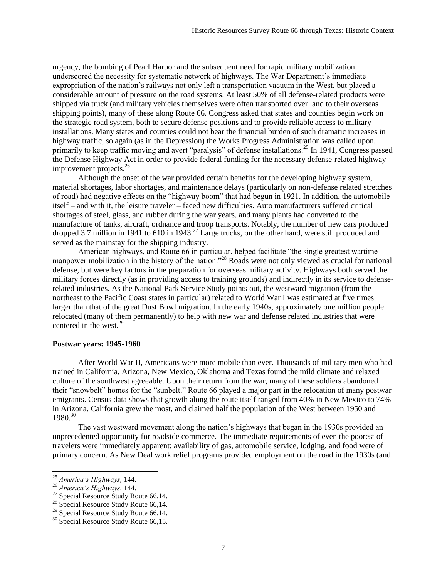urgency, the bombing of Pearl Harbor and the subsequent need for rapid military mobilization underscored the necessity for systematic network of highways. The War Department's immediate expropriation of the nation's railways not only left a transportation vacuum in the West, but placed a considerable amount of pressure on the road systems. At least 50% of all defense-related products were shipped via truck (and military vehicles themselves were often transported over land to their overseas shipping points), many of these along Route 66. Congress asked that states and counties begin work on the strategic road system, both to secure defense positions and to provide reliable access to military installations. Many states and counties could not bear the financial burden of such dramatic increases in highway traffic, so again (as in the Depression) the Works Progress Administration was called upon, primarily to keep traffic moving and avert "paralysis" of defense installations.<sup>25</sup> In 1941, Congress passed the Defense Highway Act in order to provide federal funding for the necessary defense-related highway improvement projects.<sup>26</sup>

Although the onset of the war provided certain benefits for the developing highway system, material shortages, labor shortages, and maintenance delays (particularly on non-defense related stretches of road) had negative effects on the "highway boom" that had begun in 1921. In addition, the automobile itself – and with it, the leisure traveler – faced new difficulties. Auto manufacturers suffered critical shortages of steel, glass, and rubber during the war years, and many plants had converted to the manufacture of tanks, aircraft, ordnance and troop transports. Notably, the number of new cars produced dropped 3.7 million in 1941 to 610 in 1943.<sup>27</sup> Large trucks, on the other hand, were still produced and served as the mainstay for the shipping industry.

American highways, and Route 66 in particular, helped facilitate "the single greatest wartime manpower mobilization in the history of the nation."<sup>28</sup> Roads were not only viewed as crucial for national defense, but were key factors in the preparation for overseas military activity. Highways both served the military forces directly (as in providing access to training grounds) and indirectly in its service to defenserelated industries. As the National Park Service Study points out, the westward migration (from the northeast to the Pacific Coast states in particular) related to World War I was estimated at five times larger than that of the great Dust Bowl migration. In the early 1940s, approximately one million people relocated (many of them permanently) to help with new war and defense related industries that were centered in the west.<sup>29</sup>

#### **Postwar years: 1945-1960**

After World War II, Americans were more mobile than ever. Thousands of military men who had trained in California, Arizona, New Mexico, Oklahoma and Texas found the mild climate and relaxed culture of the southwest agreeable. Upon their return from the war, many of these soldiers abandoned their "snowbelt" homes for the "sunbelt." Route 66 played a major part in the relocation of many postwar emigrants. Census data shows that growth along the route itself ranged from 40% in New Mexico to 74% in Arizona. California grew the most, and claimed half the population of the West between 1950 and 1980.<sup>30</sup>

The vast westward movement along the nation's highways that began in the 1930s provided an unprecedented opportunity for roadside commerce. The immediate requirements of even the poorest of travelers were immediately apparent: availability of gas, automobile service, lodging, and food were of primary concern. As New Deal work relief programs provided employment on the road in the 1930s (and

<sup>25</sup> *America's Highways*, 144.

<sup>26</sup> *America's Highways*, 144.

 $27$  Special Resource Study Route 66,14.

 $28$  Special Resource Study Route 66,14.

<sup>&</sup>lt;sup>29</sup> Special Resource Study Route  $66,14$ .

<sup>&</sup>lt;sup>30</sup> Special Resource Study Route 66,15.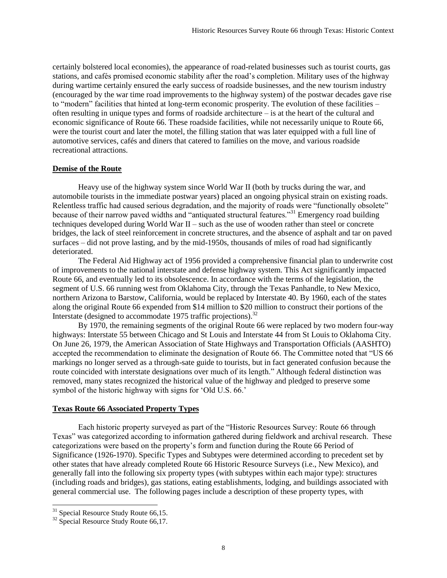certainly bolstered local economies), the appearance of road-related businesses such as tourist courts, gas stations, and cafés promised economic stability after the road's completion. Military uses of the highway during wartime certainly ensured the early success of roadside businesses, and the new tourism industry (encouraged by the war time road improvements to the highway system) of the postwar decades gave rise to "modern" facilities that hinted at long-term economic prosperity. The evolution of these facilities – often resulting in unique types and forms of roadside architecture – is at the heart of the cultural and economic significance of Route 66. These roadside facilities, while not necessarily unique to Route 66, were the tourist court and later the motel, the filling station that was later equipped with a full line of automotive services, cafés and diners that catered to families on the move, and various roadside recreational attractions.

# **Demise of the Route**

Heavy use of the highway system since World War II (both by trucks during the war, and automobile tourists in the immediate postwar years) placed an ongoing physical strain on existing roads. Relentless traffic had caused serious degradation, and the majority of roads were "functionally obsolete" because of their narrow paved widths and "antiquated structural features."<sup>31</sup> Emergency road building techniques developed during World War II – such as the use of wooden rather than steel or concrete bridges, the lack of steel reinforcement in concrete structures, and the absence of asphalt and tar on paved surfaces – did not prove lasting, and by the mid-1950s, thousands of miles of road had significantly deteriorated.

The Federal Aid Highway act of 1956 provided a comprehensive financial plan to underwrite cost of improvements to the national interstate and defense highway system. This Act significantly impacted Route 66, and eventually led to its obsolescence. In accordance with the terms of the legislation, the segment of U.S. 66 running west from Oklahoma City, through the Texas Panhandle, to New Mexico, northern Arizona to Barstow, California, would be replaced by Interstate 40. By 1960, each of the states along the original Route 66 expended from \$14 million to \$20 million to construct their portions of the Interstate (designed to accommodate 1975 traffic projections).<sup>32</sup>

By 1970, the remaining segments of the original Route 66 were replaced by two modern four-way highways: Interstate 55 between Chicago and St Louis and Interstate 44 from St Louis to Oklahoma City. On June 26, 1979, the American Association of State Highways and Transportation Officials (AASHTO) accepted the recommendation to eliminate the designation of Route 66. The Committee noted that "US 66 markings no longer served as a through-sate guide to tourists, but in fact generated confusion because the route coincided with interstate designations over much of its length." Although federal distinction was removed, many states recognized the historical value of the highway and pledged to preserve some symbol of the historic highway with signs for 'Old U.S. 66.'

# **Texas Route 66 Associated Property Types**

Each historic property surveyed as part of the "Historic Resources Survey: Route 66 through Texas" was categorized according to information gathered during fieldwork and archival research. These categorizations were based on the property's form and function during the Route 66 Period of Significance (1926-1970). Specific Types and Subtypes were determined according to precedent set by other states that have already completed Route 66 Historic Resource Surveys (i.e., New Mexico), and generally fall into the following six property types (with subtypes within each major type): structures (including roads and bridges), gas stations, eating establishments, lodging, and buildings associated with general commercial use. The following pages include a description of these property types, with

 $31$  Special Resource Study Route 66,15.

<sup>&</sup>lt;sup>32</sup> Special Resource Study Route 66,17.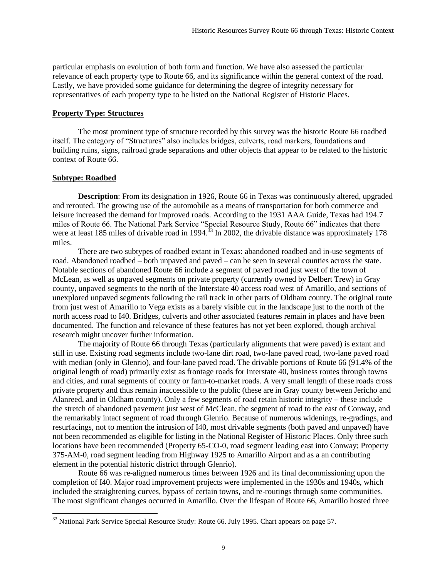particular emphasis on evolution of both form and function. We have also assessed the particular relevance of each property type to Route 66, and its significance within the general context of the road. Lastly, we have provided some guidance for determining the degree of integrity necessary for representatives of each property type to be listed on the National Register of Historic Places.

#### **Property Type: Structures**

The most prominent type of structure recorded by this survey was the historic Route 66 roadbed itself. The category of "Structures" also includes bridges, culverts, road markers, foundations and building ruins, signs, railroad grade separations and other objects that appear to be related to the historic context of Route 66.

# **Subtype: Roadbed**

l

**Description**: From its designation in 1926, Route 66 in Texas was continuously altered, upgraded and rerouted. The growing use of the automobile as a means of transportation for both commerce and leisure increased the demand for improved roads. According to the 1931 AAA Guide, Texas had 194.7 miles of Route 66. The National Park Service "Special Resource Study, Route 66" indicates that there were at least 185 miles of drivable road in 1994.<sup>33</sup> In 2002, the drivable distance was approximately 178 miles.

There are two subtypes of roadbed extant in Texas: abandoned roadbed and in-use segments of road. Abandoned roadbed – both unpaved and paved – can be seen in several counties across the state. Notable sections of abandoned Route 66 include a segment of paved road just west of the town of McLean, as well as unpaved segments on private property (currently owned by Delbert Trew) in Gray county, unpaved segments to the north of the Interstate 40 access road west of Amarillo, and sections of unexplored unpaved segments following the rail track in other parts of Oldham county. The original route from just west of Amarillo to Vega exists as a barely visible cut in the landscape just to the north of the north access road to I40. Bridges, culverts and other associated features remain in places and have been documented. The function and relevance of these features has not yet been explored, though archival research might uncover further information.

The majority of Route 66 through Texas (particularly alignments that were paved) is extant and still in use. Existing road segments include two-lane dirt road, two-lane paved road, two-lane paved road with median (only in Glenrio), and four-lane paved road. The drivable portions of Route 66 (91.4% of the original length of road) primarily exist as frontage roads for Interstate 40, business routes through towns and cities, and rural segments of county or farm-to-market roads. A very small length of these roads cross private property and thus remain inaccessible to the public (these are in Gray county between Jericho and Alanreed, and in Oldham county). Only a few segments of road retain historic integrity – these include the stretch of abandoned pavement just west of McClean, the segment of road to the east of Conway, and the remarkably intact segment of road through Glenrio. Because of numerous widenings, re-gradings, and resurfacings, not to mention the intrusion of I40, most drivable segments (both paved and unpaved) have not been recommended as eligible for listing in the National Register of Historic Places. Only three such locations have been recommended (Property 65-CO-0, road segment leading east into Conway; Property 375-AM-0, road segment leading from Highway 1925 to Amarillo Airport and as a an contributing element in the potential historic district through Glenrio).

Route 66 was re-aligned numerous times between 1926 and its final decommissioning upon the completion of I40. Major road improvement projects were implemented in the 1930s and 1940s, which included the straightening curves, bypass of certain towns, and re-routings through some communities. The most significant changes occurred in Amarillo. Over the lifespan of Route 66, Amarillo hosted three

 $33$  National Park Service Special Resource Study: Route 66. July 1995. Chart appears on page 57.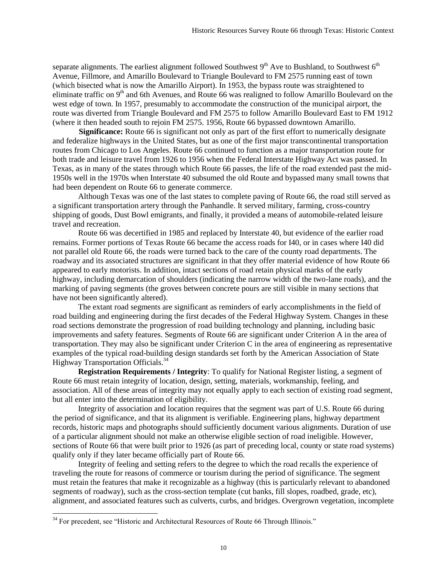separate alignments. The earliest alignment followed Southwest  $9<sup>th</sup>$  Ave to Bushland, to Southwest  $6<sup>th</sup>$ Avenue, Fillmore, and Amarillo Boulevard to Triangle Boulevard to FM 2575 running east of town (which bisected what is now the Amarillo Airport). In 1953, the bypass route was straightened to eliminate traffic on 9<sup>th</sup> and 6th Avenues, and Route 66 was realigned to follow Amarillo Boulevard on the west edge of town. In 1957, presumably to accommodate the construction of the municipal airport, the route was diverted from Triangle Boulevard and FM 2575 to follow Amarillo Boulevard East to FM 1912 (where it then headed south to rejoin FM 2575. 1956, Route 66 bypassed downtown Amarillo.

**Significance:** Route 66 is significant not only as part of the first effort to numerically designate and federalize highways in the United States, but as one of the first major transcontinental transportation routes from Chicago to Los Angeles. Route 66 continued to function as a major transportation route for both trade and leisure travel from 1926 to 1956 when the Federal Interstate Highway Act was passed. In Texas, as in many of the states through which Route 66 passes, the life of the road extended past the mid-1950s well in the 1970s when Interstate 40 subsumed the old Route and bypassed many small towns that had been dependent on Route 66 to generate commerce.

Although Texas was one of the last states to complete paving of Route 66, the road still served as a significant transportation artery through the Panhandle. It served military, farming, cross-country shipping of goods, Dust Bowl emigrants, and finally, it provided a means of automobile-related leisure travel and recreation.

Route 66 was decertified in 1985 and replaced by Interstate 40, but evidence of the earlier road remains. Former portions of Texas Route 66 became the access roads for I40, or in cases where I40 did not parallel old Route 66, the roads were turned back to the care of the county road departments. The roadway and its associated structures are significant in that they offer material evidence of how Route 66 appeared to early motorists. In addition, intact sections of road retain physical marks of the early highway, including demarcation of shoulders (indicating the narrow width of the two-lane roads), and the marking of paving segments (the groves between concrete pours are still visible in many sections that have not been significantly altered).

The extant road segments are significant as reminders of early accomplishments in the field of road building and engineering during the first decades of the Federal Highway System. Changes in these road sections demonstrate the progression of road building technology and planning, including basic improvements and safety features. Segments of Route 66 are significant under Criterion A in the area of transportation. They may also be significant under Criterion C in the area of engineering as representative examples of the typical road-building design standards set forth by the American Association of State Highway Transportation Officials.<sup>34</sup>

**Registration Requirements / Integrity**: To qualify for National Register listing, a segment of Route 66 must retain integrity of location, design, setting, materials, workmanship, feeling, and association. All of these areas of integrity may not equally apply to each section of existing road segment, but all enter into the determination of eligibility.

Integrity of association and location requires that the segment was part of U.S. Route 66 during the period of significance, and that its alignment is verifiable. Engineering plans, highway department records, historic maps and photographs should sufficiently document various alignments. Duration of use of a particular alignment should not make an otherwise eligible section of road ineligible. However, sections of Route 66 that were built prior to 1926 (as part of preceding local, county or state road systems) qualify only if they later became officially part of Route 66.

Integrity of feeling and setting refers to the degree to which the road recalls the experience of traveling the route for reasons of commerce or tourism during the period of significance. The segment must retain the features that make it recognizable as a highway (this is particularly relevant to abandoned segments of roadway), such as the cross-section template (cut banks, fill slopes, roadbed, grade, etc), alignment, and associated features such as culverts, curbs, and bridges. Overgrown vegetation, incomplete

 $34$  For precedent, see "Historic and Architectural Resources of Route 66 Through Illinois."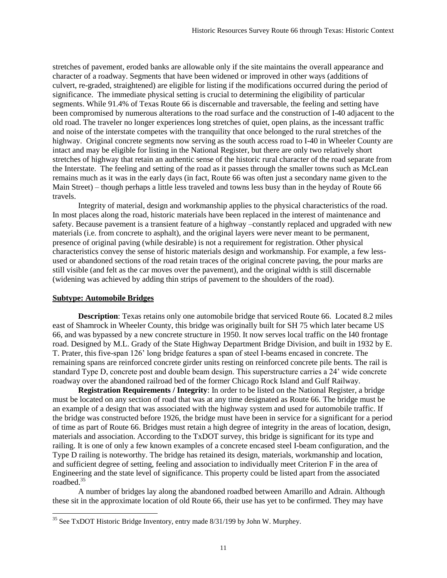stretches of pavement, eroded banks are allowable only if the site maintains the overall appearance and character of a roadway. Segments that have been widened or improved in other ways (additions of culvert, re-graded, straightened) are eligible for listing if the modifications occurred during the period of significance. The immediate physical setting is crucial to determining the eligibility of particular segments. While 91.4% of Texas Route 66 is discernable and traversable, the feeling and setting have been compromised by numerous alterations to the road surface and the construction of I-40 adjacent to the old road. The traveler no longer experiences long stretches of quiet, open plains, as the incessant traffic and noise of the interstate competes with the tranquility that once belonged to the rural stretches of the highway. Original concrete segments now serving as the south access road to I-40 in Wheeler County are intact and may be eligible for listing in the National Register, but there are only two relatively short stretches of highway that retain an authentic sense of the historic rural character of the road separate from the Interstate. The feeling and setting of the road as it passes through the smaller towns such as McLean remains much as it was in the early days (in fact, Route 66 was often just a secondary name given to the Main Street) – though perhaps a little less traveled and towns less busy than in the heyday of Route 66 travels.

Integrity of material, design and workmanship applies to the physical characteristics of the road. In most places along the road, historic materials have been replaced in the interest of maintenance and safety. Because pavement is a transient feature of a highway –constantly replaced and upgraded with new materials (i.e. from concrete to asphalt), and the original layers were never meant to be permanent, presence of original paving (while desirable) is not a requirement for registration. Other physical characteristics convey the sense of historic materials design and workmanship. For example, a few lessused or abandoned sections of the road retain traces of the original concrete paving, the pour marks are still visible (and felt as the car moves over the pavement), and the original width is still discernable (widening was achieved by adding thin strips of pavement to the shoulders of the road).

### **Subtype: Automobile Bridges**

**Description**: Texas retains only one automobile bridge that serviced Route 66. Located 8.2 miles east of Shamrock in Wheeler County, this bridge was originally built for SH 75 which later became US 66, and was bypassed by a new concrete structure in 1950. It now serves local traffic on the I40 frontage road. Designed by M.L. Grady of the State Highway Department Bridge Division, and built in 1932 by E. T. Prater, this five-span 126' long bridge features a span of steel I-beams encased in concrete. The remaining spans are reinforced concrete girder units resting on reinforced concrete pile bents. The rail is standard Type D, concrete post and double beam design. This superstructure carries a 24' wide concrete roadway over the abandoned railroad bed of the former Chicago Rock Island and Gulf Railway.

**Registration Requirements / Integrity**: In order to be listed on the National Register, a bridge must be located on any section of road that was at any time designated as Route 66. The bridge must be an example of a design that was associated with the highway system and used for automobile traffic. If the bridge was constructed before 1926, the bridge must have been in service for a significant for a period of time as part of Route 66. Bridges must retain a high degree of integrity in the areas of location, design, materials and association. According to the TxDOT survey, this bridge is significant for its type and railing. It is one of only a few known examples of a concrete encased steel I-beam configuration, and the Type D railing is noteworthy. The bridge has retained its design, materials, workmanship and location, and sufficient degree of setting, feeling and association to individually meet Criterion F in the area of Engineering and the state level of significance. This property could be listed apart from the associated roadbed.<sup>35</sup>

A number of bridges lay along the abandoned roadbed between Amarillo and Adrain. Although these sit in the approximate location of old Route 66, their use has yet to be confirmed. They may have

l  $35$  See TxDOT Historic Bridge Inventory, entry made  $8/31/199$  by John W. Murphey.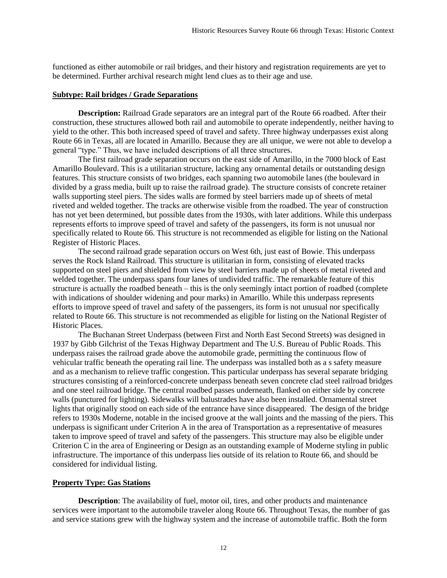functioned as either automobile or rail bridges, and their history and registration requirements are yet to be determined. Further archival research might lend clues as to their age and use.

#### **Subtype: Rail bridges / Grade Separations**

**Description:** Railroad Grade separators are an integral part of the Route 66 roadbed. After their construction, these structures allowed both rail and automobile to operate independently, neither having to yield to the other. This both increased speed of travel and safety. Three highway underpasses exist along Route 66 in Texas, all are located in Amarillo. Because they are all unique, we were not able to develop a general "type." Thus, we have included descriptions of all three structures.

The first railroad grade separation occurs on the east side of Amarillo, in the 7000 block of East Amarillo Boulevard. This is a utilitarian structure, lacking any ornamental details or outstanding design features. This structure consists of two bridges, each spanning two automobile lanes (the boulevard in divided by a grass media, built up to raise the railroad grade). The structure consists of concrete retainer walls supporting steel piers. The sides walls are formed by steel barriers made up of sheets of metal riveted and welded together. The tracks are otherwise visible from the roadbed. The year of construction has not yet been determined, but possible dates from the 1930s, with later additions. While this underpass represents efforts to improve speed of travel and safety of the passengers, its form is not unusual nor specifically related to Route 66. This structure is not recommended as eligible for listing on the National Register of Historic Places.

The second railroad grade separation occurs on West 6th, just east of Bowie. This underpass serves the Rock Island Railroad. This structure is utilitarian in form, consisting of elevated tracks supported on steel piers and shielded from view by steel barriers made up of sheets of metal riveted and welded together. The underpass spans four lanes of undivided traffic. The remarkable feature of this structure is actually the roadbed beneath – this is the only seemingly intact portion of roadbed (complete with indications of shoulder widening and pour marks) in Amarillo. While this underpass represents efforts to improve speed of travel and safety of the passengers, its form is not unusual nor specifically related to Route 66. This structure is not recommended as eligible for listing on the National Register of Historic Places.

The Buchanan Street Underpass (between First and North East Second Streets) was designed in 1937 by Gibb Gilchrist of the Texas Highway Department and The U.S. Bureau of Public Roads. This underpass raises the railroad grade above the automobile grade, permitting the continuous flow of vehicular traffic beneath the operating rail line. The underpass was installed both as a s safety measure and as a mechanism to relieve traffic congestion. This particular underpass has several separate bridging structures consisting of a reinforced-concrete underpass beneath seven concrete clad steel railroad bridges and one steel railroad bridge. The central roadbed passes underneath, flanked on either side by concrete walls (punctured for lighting). Sidewalks will balustrades have also been installed. Ornamental street lights that originally stood on each side of the entrance have since disappeared. The design of the bridge refers to 1930s Moderne, notable in the incised groove at the wall joints and the massing of the piers. This underpass is significant under Criterion A in the area of Transportation as a representative of measures taken to improve speed of travel and safety of the passengers. This structure may also be eligible under Criterion C in the area of Engineering or Design as an outstanding example of Moderne styling in public infrastructure. The importance of this underpass lies outside of its relation to Route 66, and should be considered for individual listing.

# **Property Type: Gas Stations**

**Description**: The availability of fuel, motor oil, tires, and other products and maintenance services were important to the automobile traveler along Route 66. Throughout Texas, the number of gas and service stations grew with the highway system and the increase of automobile traffic. Both the form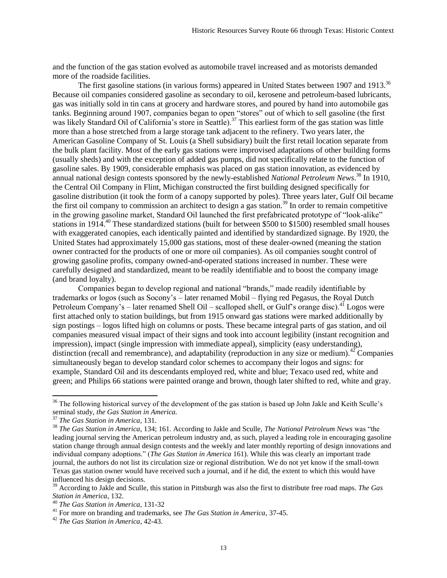and the function of the gas station evolved as automobile travel increased and as motorists demanded more of the roadside facilities.

The first gasoline stations (in various forms) appeared in United States between 1907 and 1913.<sup>36</sup> Because oil companies considered gasoline as secondary to oil, kerosene and petroleum-based lubricants, gas was initially sold in tin cans at grocery and hardware stores, and poured by hand into automobile gas tanks. Beginning around 1907, companies began to open "stores" out of which to sell gasoline (the first was likely Standard Oil of California's store in Seattle).<sup>37</sup> This earliest form of the gas station was little more than a hose stretched from a large storage tank adjacent to the refinery. Two years later, the American Gasoline Company of St. Louis (a Shell subsidiary) built the first retail location separate from the bulk plant facility. Most of the early gas stations were improvised adaptations of other building forms (usually sheds) and with the exception of added gas pumps, did not specifically relate to the function of gasoline sales. By 1909, considerable emphasis was placed on gas station innovation, as evidenced by annual national design contests sponsored by the newly-established *National Petroleum News*. <sup>38</sup> In 1910, the Central Oil Company in Flint, Michigan constructed the first building designed specifically for gasoline distribution (it took the form of a canopy supported by poles). Three years later, Gulf Oil became the first oil company to commission an architect to design a gas station.<sup>39</sup> In order to remain competitive in the growing gasoline market, Standard Oil launched the first prefabricated prototype of "look-alike" stations in 1914.<sup>40</sup> These standardized stations (built for between \$500 to \$1500) resembled small houses with exaggerated canopies, each identically painted and identified by standardized signage. By 1920, the United States had approximately 15,000 gas stations, most of these dealer-owned (meaning the station owner contracted for the products of one or more oil companies). As oil companies sought control of growing gasoline profits, company owned-and-operated stations increased in number. These were carefully designed and standardized, meant to be readily identifiable and to boost the company image (and brand loyalty).

Companies began to develop regional and national "brands," made readily identifiable by trademarks or logos (such as Socony's – later renamed Mobil – flying red Pegasus, the Royal Dutch Petroleum Company's – later renamed Shell Oil – scalloped shell, or Gulf's orange disc).<sup>41</sup> Logos were first attached only to station buildings, but from 1915 onward gas stations were marked additionally by sign postings – logos lifted high on columns or posts. These became integral parts of gas station, and oil companies measured visual impact of their signs and took into account legibility (instant recognition and impression), impact (single impression with immediate appeal), simplicity (easy understanding), distinction (recall and remembrance), and adaptability (reproduction in any size or medium). $42^{\circ}$  Companies simultaneously began to develop standard color schemes to accompany their logos and signs: for example, Standard Oil and its descendants employed red, white and blue; Texaco used red, white and green; and Philips 66 stations were painted orange and brown, though later shifted to red, white and gray.

<sup>&</sup>lt;sup>36</sup> The following historical survey of the development of the gas station is based up John Jakle and Keith Sculle's seminal study, *the Gas Station in America.*

<sup>37</sup> *The Gas Station in America*, 131.

<sup>38</sup> *The Gas Station in America*, 134; 161. According to Jakle and Sculle, *The National Petroleum News* was "the leading journal serving the American petroleum industry and, as such, played a leading role in encouraging gasoline station change through annual design contests and the weekly and later monthly reporting of design innovations and individual company adoptions." (*The Gas Station in America* 161). While this was clearly an important trade journal, the authors do not list its circulation size or regional distribution. We do not yet know if the small-town Texas gas station owner would have received such a journal, and if he did, the extent to which this would have influenced his design decisions.

<sup>39</sup> According to Jakle and Sculle, this station in Pittsburgh was also the first to distribute free road maps. *The Gas Station in America*, 132.

<sup>40</sup> *The Gas Station in America*, 131-32

<sup>41</sup> For more on branding and trademarks, see *The Gas Station in America*, 37-45.

<sup>42</sup> *The Gas Station in America*, 42-43.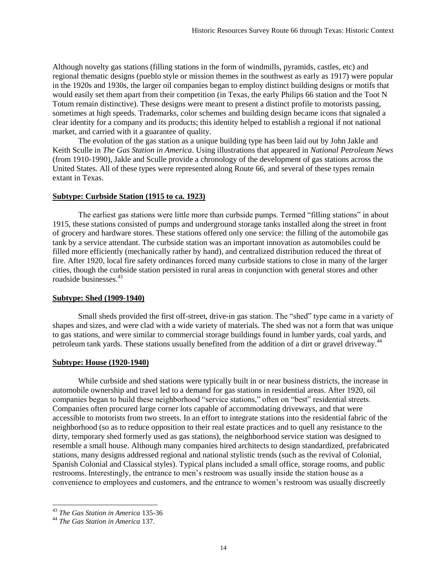Although novelty gas stations (filling stations in the form of windmills, pyramids, castles, etc) and regional thematic designs (pueblo style or mission themes in the southwest as early as 1917) were popular in the 1920s and 1930s, the larger oil companies began to employ distinct building designs or motifs that would easily set them apart from their competition (in Texas, the early Philips 66 station and the Toot N Totum remain distinctive). These designs were meant to present a distinct profile to motorists passing, sometimes at high speeds. Trademarks, color schemes and building design became icons that signaled a clear identity for a company and its products; this identity helped to establish a regional if not national market, and carried with it a guarantee of quality.

The evolution of the gas station as a unique building type has been laid out by John Jakle and Keith Sculle in *The Gas Station in America*. Using illustrations that appeared in *National Petroleum News* (from 1910-1990), Jakle and Sculle provide a chronology of the development of gas stations across the United States. All of these types were represented along Route 66, and several of these types remain extant in Texas.

#### **Subtype: Curbside Station (1915 to ca. 1923)**

The earliest gas stations were little more than curbside pumps. Termed "filling stations" in about 1915, these stations consisted of pumps and underground storage tanks installed along the street in front of grocery and hardware stores. These stations offered only one service: the filling of the automobile gas tank by a service attendant. The curbside station was an important innovation as automobiles could be filled more efficiently (mechanically rather by hand), and centralized distribution reduced the threat of fire. After 1920, local fire safety ordinances forced many curbside stations to close in many of the larger cities, though the curbside station persisted in rural areas in conjunction with general stores and other roadside businesses.<sup>43</sup>

### **Subtype: Shed (1909-1940)**

Small sheds provided the first off-street, drive-in gas station. The "shed" type came in a variety of shapes and sizes, and were clad with a wide variety of materials. The shed was not a form that was unique to gas stations, and were similar to commercial storage buildings found in lumber yards, coal yards, and petroleum tank yards. These stations usually benefited from the addition of a dirt or gravel driveway.<sup>44</sup>

#### **Subtype: House (1920-1940)**

While curbside and shed stations were typically built in or near business districts, the increase in automobile ownership and travel led to a demand for gas stations in residential areas. After 1920, oil companies began to build these neighborhood "service stations," often on "best" residential streets. Companies often procured large corner lots capable of accommodating driveways, and that were accessible to motorists from two streets. In an effort to integrate stations into the residential fabric of the neighborhood (so as to reduce opposition to their real estate practices and to quell any resistance to the dirty, temporary shed formerly used as gas stations), the neighborhood service station was designed to resemble a small house. Although many companies hired architects to design standardized, prefabricated stations, many designs addressed regional and national stylistic trends (such as the revival of Colonial, Spanish Colonial and Classical styles). Typical plans included a small office, storage rooms, and public restrooms. Interestingly, the entrance to men's restroom was usually inside the station house as a convenience to employees and customers, and the entrance to women's restroom was usually discreetly

l <sup>43</sup> *The Gas Station in America* 135-36

<sup>44</sup> *The Gas Station in America* 137.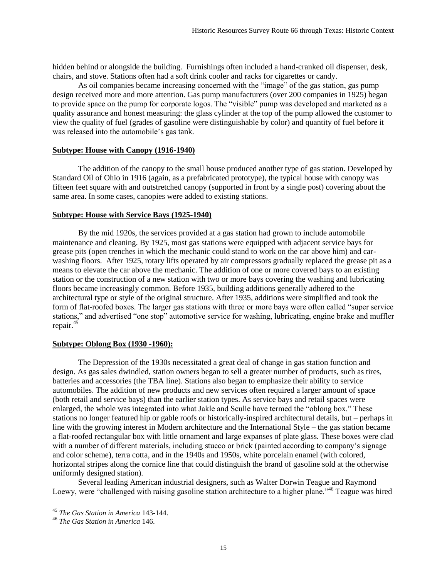hidden behind or alongside the building. Furnishings often included a hand-cranked oil dispenser, desk, chairs, and stove. Stations often had a soft drink cooler and racks for cigarettes or candy.

As oil companies became increasing concerned with the "image" of the gas station, gas pump design received more and more attention. Gas pump manufacturers (over 200 companies in 1925) began to provide space on the pump for corporate logos. The "visible" pump was developed and marketed as a quality assurance and honest measuring: the glass cylinder at the top of the pump allowed the customer to view the quality of fuel (grades of gasoline were distinguishable by color) and quantity of fuel before it was released into the automobile's gas tank.

#### **Subtype: House with Canopy (1916-1940)**

The addition of the canopy to the small house produced another type of gas station. Developed by Standard Oil of Ohio in 1916 (again, as a prefabricated prototype), the typical house with canopy was fifteen feet square with and outstretched canopy (supported in front by a single post) covering about the same area. In some cases, canopies were added to existing stations.

#### **Subtype: House with Service Bays (1925-1940)**

By the mid 1920s, the services provided at a gas station had grown to include automobile maintenance and cleaning. By 1925, most gas stations were equipped with adjacent service bays for grease pits (open trenches in which the mechanic could stand to work on the car above him) and carwashing floors. After 1925, rotary lifts operated by air compressors gradually replaced the grease pit as a means to elevate the car above the mechanic. The addition of one or more covered bays to an existing station or the construction of a new station with two or more bays covering the washing and lubricating floors became increasingly common. Before 1935, building additions generally adhered to the architectural type or style of the original structure. After 1935, additions were simplified and took the form of flat-roofed boxes. The larger gas stations with three or more bays were often called "super service stations," and advertised "one stop" automotive service for washing, lubricating, engine brake and muffler repair.<sup>45</sup>

#### **Subtype: Oblong Box (1930 -1960):**

The Depression of the 1930s necessitated a great deal of change in gas station function and design. As gas sales dwindled, station owners began to sell a greater number of products, such as tires, batteries and accessories (the TBA line). Stations also began to emphasize their ability to service automobiles. The addition of new products and new services often required a larger amount of space (both retail and service bays) than the earlier station types. As service bays and retail spaces were enlarged, the whole was integrated into what Jakle and Sculle have termed the "oblong box." These stations no longer featured hip or gable roofs or historically-inspired architectural details, but – perhaps in line with the growing interest in Modern architecture and the International Style – the gas station became a flat-roofed rectangular box with little ornament and large expanses of plate glass. These boxes were clad with a number of different materials, including stucco or brick (painted according to company's signage and color scheme), terra cotta, and in the 1940s and 1950s, white porcelain enamel (with colored, horizontal stripes along the cornice line that could distinguish the brand of gasoline sold at the otherwise uniformly designed station).

Several leading American industrial designers, such as Walter Dorwin Teague and Raymond Loewy, were "challenged with raising gasoline station architecture to a higher plane."<sup>46</sup> Teague was hired

<sup>45</sup> *The Gas Station in America* 143-144.

<sup>46</sup> *The Gas Station in America* 146.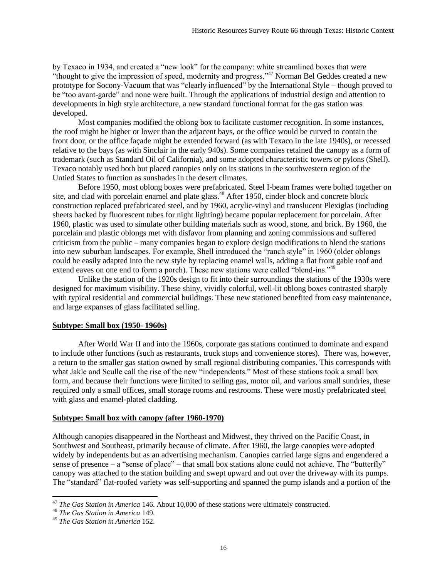by Texaco in 1934, and created a "new look" for the company: white streamlined boxes that were "thought to give the impression of speed, modernity and progress."<sup>47</sup> Norman Bel Geddes created a new prototype for Socony-Vacuum that was "clearly influenced" by the International Style – though proved to be "too avant-garde" and none were built. Through the applications of industrial design and attention to developments in high style architecture, a new standard functional format for the gas station was developed.

Most companies modified the oblong box to facilitate customer recognition. In some instances, the roof might be higher or lower than the adjacent bays, or the office would be curved to contain the front door, or the office façade might be extended forward (as with Texaco in the late 1940s), or recessed relative to the bays (as with Sinclair in the early 940s). Some companies retained the canopy as a form of trademark (such as Standard Oil of California), and some adopted characteristic towers or pylons (Shell). Texaco notably used both but placed canopies only on its stations in the southwestern region of the Untied States to function as sunshades in the desert climates.

Before 1950, most oblong boxes were prefabricated. Steel I-beam frames were bolted together on site, and clad with porcelain enamel and plate glass.<sup>48</sup> After 1950, cinder block and concrete block construction replaced prefabricated steel, and by 1960, acrylic-vinyl and translucent Plexiglas (including sheets backed by fluorescent tubes for night lighting) became popular replacement for porcelain. After 1960, plastic was used to simulate other building materials such as wood, stone, and brick. By 1960, the porcelain and plastic oblongs met with disfavor from planning and zoning commissions and suffered criticism from the public – many companies began to explore design modifications to blend the stations into new suburban landscapes. For example, Shell introduced the "ranch style" in 1960 (older oblongs could be easily adapted into the new style by replacing enamel walls, adding a flat front gable roof and extend eaves on one end to form a porch). These new stations were called "blend-ins."<sup>49</sup>

Unlike the station of the 1920s design to fit into their surroundings the stations of the 1930s were designed for maximum visibility. These shiny, vividly colorful, well-lit oblong boxes contrasted sharply with typical residential and commercial buildings. These new stationed benefited from easy maintenance, and large expanses of glass facilitated selling.

### **Subtype: Small box (1950- 1960s)**

After World War II and into the 1960s, corporate gas stations continued to dominate and expand to include other functions (such as restaurants, truck stops and convenience stores). There was, however, a return to the smaller gas station owned by small regional distributing companies. This corresponds with what Jakle and Sculle call the rise of the new "independents." Most of these stations took a small box form, and because their functions were limited to selling gas, motor oil, and various small sundries, these required only a small offices, small storage rooms and restrooms. These were mostly prefabricated steel with glass and enamel-plated cladding.

# **Subtype: Small box with canopy (after 1960-1970)**

Although canopies disappeared in the Northeast and Midwest, they thrived on the Pacific Coast, in Southwest and Southeast, primarily because of climate. After 1960, the large canopies were adopted widely by independents but as an advertising mechanism. Canopies carried large signs and engendered a sense of presence – a "sense of place" – that small box stations alone could not achieve. The "butterfly" canopy was attached to the station building and swept upward and out over the driveway with its pumps. The "standard" flat-roofed variety was self-supporting and spanned the pump islands and a portion of the

<sup>&</sup>lt;sup>47</sup> *The Gas Station in America* 146. About 10,000 of these stations were ultimately constructed.

<sup>48</sup> *The Gas Station in America* 149.

<sup>49</sup> *The Gas Station in America* 152.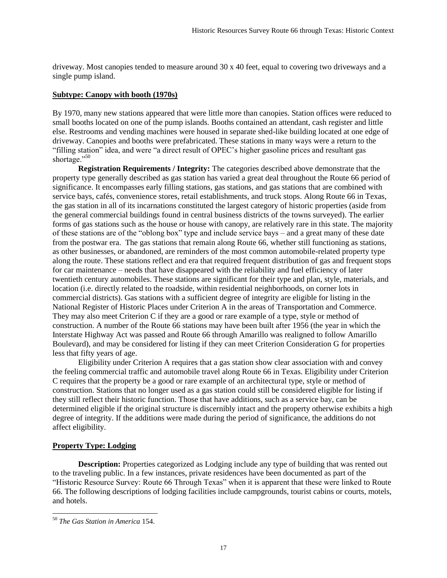driveway. Most canopies tended to measure around 30 x 40 feet, equal to covering two driveways and a single pump island.

# **Subtype: Canopy with booth (1970s)**

By 1970, many new stations appeared that were little more than canopies. Station offices were reduced to small booths located on one of the pump islands. Booths contained an attendant, cash register and little else. Restrooms and vending machines were housed in separate shed-like building located at one edge of driveway. Canopies and booths were prefabricated. These stations in many ways were a return to the "filling station" idea, and were "a direct result of OPEC's higher gasoline prices and resultant gas shortage."<sup>50</sup>

**Registration Requirements / Integrity:** The categories described above demonstrate that the property type generally described as gas station has varied a great deal throughout the Route 66 period of significance. It encompasses early filling stations, gas stations, and gas stations that are combined with service bays, cafés, convenience stores, retail establishments, and truck stops. Along Route 66 in Texas, the gas station in all of its incarnations constituted the largest category of historic properties (aside from the general commercial buildings found in central business districts of the towns surveyed). The earlier forms of gas stations such as the house or house with canopy, are relatively rare in this state. The majority of these stations are of the "oblong box" type and include service bays – and a great many of these date from the postwar era. The gas stations that remain along Route 66, whether still functioning as stations, as other businesses, or abandoned, are reminders of the most common automobile-related property type along the route. These stations reflect and era that required frequent distribution of gas and frequent stops for car maintenance – needs that have disappeared with the reliability and fuel efficiency of later twentieth century automobiles. These stations are significant for their type and plan, style, materials, and location (i.e. directly related to the roadside, within residential neighborhoods, on corner lots in commercial districts). Gas stations with a sufficient degree of integrity are eligible for listing in the National Register of Historic Places under Criterion A in the areas of Transportation and Commerce. They may also meet Criterion C if they are a good or rare example of a type, style or method of construction. A number of the Route 66 stations may have been built after 1956 (the year in which the Interstate Highway Act was passed and Route 66 through Amarillo was realigned to follow Amarillo Boulevard), and may be considered for listing if they can meet Criterion Consideration G for properties less that fifty years of age.

Eligibility under Criterion A requires that a gas station show clear association with and convey the feeling commercial traffic and automobile travel along Route 66 in Texas. Eligibility under Criterion C requires that the property be a good or rare example of an architectural type, style or method of construction. Stations that no longer used as a gas station could still be considered eligible for listing if they still reflect their historic function. Those that have additions, such as a service bay, can be determined eligible if the original structure is discernibly intact and the property otherwise exhibits a high degree of integrity. If the additions were made during the period of significance, the additions do not affect eligibility.

# **Property Type: Lodging**

**Description:** Properties categorized as Lodging include any type of building that was rented out to the traveling public. In a few instances, private residences have been documented as part of the "Historic Resource Survey: Route 66 Through Texas" when it is apparent that these were linked to Route 66. The following descriptions of lodging facilities include campgrounds, tourist cabins or courts, motels, and hotels.

l <sup>50</sup> *The Gas Station in America* 154.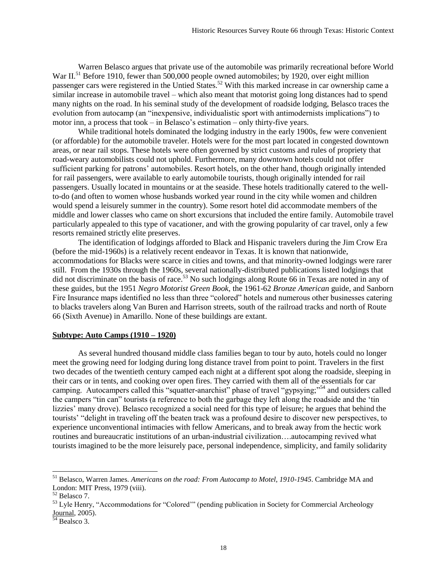Warren Belasco argues that private use of the automobile was primarily recreational before World War II.<sup>51</sup> Before 1910, fewer than 500,000 people owned automobiles; by 1920, over eight million passenger cars were registered in the Untied States.<sup>52</sup> With this marked increase in car ownership came a similar increase in automobile travel – which also meant that motorist going long distances had to spend many nights on the road. In his seminal study of the development of roadside lodging, Belasco traces the evolution from autocamp (an "inexpensive, individualistic sport with antimodernists implications") to motor inn, a process that took – in Belasco's estimation – only thirty-five years.

While traditional hotels dominated the lodging industry in the early 1900s, few were convenient (or affordable) for the automobile traveler. Hotels were for the most part located in congested downtown areas, or near rail stops. These hotels were often governed by strict customs and rules of propriety that road-weary automobilists could not uphold. Furthermore, many downtown hotels could not offer sufficient parking for patrons' automobiles. Resort hotels, on the other hand, though originally intended for rail passengers, were available to early automobile tourists, though originally intended for rail passengers. Usually located in mountains or at the seaside. These hotels traditionally catered to the wellto-do (and often to women whose husbands worked year round in the city while women and children would spend a leisurely summer in the country). Some resort hotel did accommodate members of the middle and lower classes who came on short excursions that included the entire family. Automobile travel particularly appealed to this type of vacationer, and with the growing popularity of car travel, only a few resorts remained strictly elite preserves.

The identification of lodgings afforded to Black and Hispanic travelers during the Jim Crow Era (before the mid-1960s) is a relatively recent endeavor in Texas. It is known that nationwide, accommodations for Blacks were scarce in cities and towns, and that minority-owned lodgings were rarer still. From the 1930s through the 1960s, several nationally-distributed publications listed lodgings that did not discriminate on the basis of race.<sup>53</sup> No such lodgings along Route 66 in Texas are noted in any of these guides, but the 1951 *Negro Motorist Green Book,* the 1961-62 *Bronze American* guide, and Sanborn Fire Insurance maps identified no less than three "colored" hotels and numerous other businesses catering to blacks travelers along Van Buren and Harrison streets, south of the railroad tracks and north of Route 66 (Sixth Avenue) in Amarillo. None of these buildings are extant.

# **Subtype: Auto Camps (1910 – 1920)**

As several hundred thousand middle class families began to tour by auto, hotels could no longer meet the growing need for lodging during long distance travel from point to point. Travelers in the first two decades of the twentieth century camped each night at a different spot along the roadside, sleeping in their cars or in tents, and cooking over open fires. They carried with them all of the essentials for car camping. Autocampers called this "squatter-anarchist" phase of travel "gypsying;"<sup>54</sup> and outsiders called the campers "tin can" tourists (a reference to both the garbage they left along the roadside and the 'tin lizzies' many drove). Belasco recognized a social need for this type of leisure; he argues that behind the tourists' "delight in traveling off the beaten track was a profound desire to discover new perspectives, to experience unconventional intimacies with fellow Americans, and to break away from the hectic work routines and bureaucratic institutions of an urban-industrial civilization….autocamping revived what tourists imagined to be the more leisurely pace, personal independence, simplicity, and family solidarity

<sup>51</sup> Belasco, Warren James. *Americans on the road: From Autocamp to Motel, 1910-1945*. Cambridge MA and London: MIT Press, 1979 (viii).

<sup>52</sup> Belasco 7.

<sup>&</sup>lt;sup>53</sup> Lyle Henry, "Accommodations for "Colored"" (pending publication in Society for Commercial Archeology Journal, 2005).

<sup>&</sup>lt;sup>54</sup> Bealsco 3.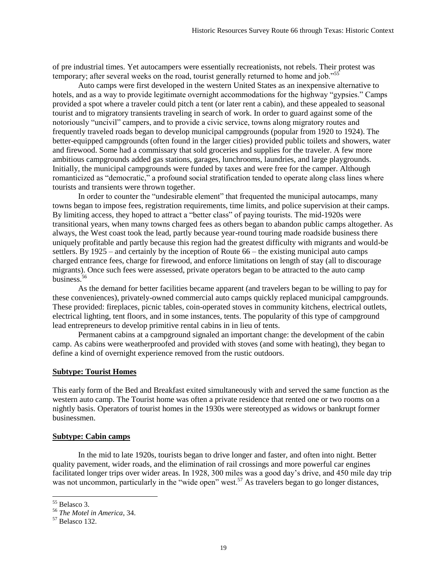of pre industrial times. Yet autocampers were essentially recreationists, not rebels. Their protest was temporary; after several weeks on the road, tourist generally returned to home and job."<sup>55</sup>

Auto camps were first developed in the western United States as an inexpensive alternative to hotels, and as a way to provide legitimate overnight accommodations for the highway "gypsies." Camps provided a spot where a traveler could pitch a tent (or later rent a cabin), and these appealed to seasonal tourist and to migratory transients traveling in search of work. In order to guard against some of the notoriously "uncivil" campers, and to provide a civic service, towns along migratory routes and frequently traveled roads began to develop municipal campgrounds (popular from 1920 to 1924). The better-equipped campgrounds (often found in the larger cities) provided public toilets and showers, water and firewood. Some had a commissary that sold groceries and supplies for the traveler. A few more ambitious campgrounds added gas stations, garages, lunchrooms, laundries, and large playgrounds. Initially, the municipal campgrounds were funded by taxes and were free for the camper. Although romanticized as "democratic," a profound social stratification tended to operate along class lines where tourists and transients were thrown together.

In order to counter the "undesirable element" that frequented the municipal autocamps, many towns began to impose fees, registration requirements, time limits, and police supervision at their camps. By limiting access, they hoped to attract a "better class" of paying tourists. The mid-1920s were transitional years, when many towns charged fees as others began to abandon public camps altogether. As always, the West coast took the lead, partly because year-round touring made roadside business there uniquely profitable and partly because this region had the greatest difficulty with migrants and would-be settlers. By 1925 – and certainly by the inception of Route 66 – the existing municipal auto camps charged entrance fees, charge for firewood, and enforce limitations on length of stay (all to discourage migrants). Once such fees were assessed, private operators began to be attracted to the auto camp business.<sup>56</sup>

As the demand for better facilities became apparent (and travelers began to be willing to pay for these conveniences), privately-owned commercial auto camps quickly replaced municipal campgrounds. These provided: fireplaces, picnic tables, coin-operated stoves in community kitchens, electrical outlets, electrical lighting, tent floors, and in some instances, tents. The popularity of this type of campground lead entrepreneurs to develop primitive rental cabins in in lieu of tents.

Permanent cabins at a campground signaled an important change: the development of the cabin camp. As cabins were weatherproofed and provided with stoves (and some with heating), they began to define a kind of overnight experience removed from the rustic outdoors.

#### **Subtype: Tourist Homes**

This early form of the Bed and Breakfast exited simultaneously with and served the same function as the western auto camp. The Tourist home was often a private residence that rented one or two rooms on a nightly basis. Operators of tourist homes in the 1930s were stereotyped as widows or bankrupt former businessmen.

#### **Subtype: Cabin camps**

In the mid to late 1920s, tourists began to drive longer and faster, and often into night. Better quality pavement, wider roads, and the elimination of rail crossings and more powerful car engines facilitated longer trips over wider areas. In 1928, 300 miles was a good day's drive, and 450 mile day trip was not uncommon, particularly in the "wide open" west.<sup>57</sup> As travelers began to go longer distances,

l <sup>55</sup> Belasco 3.

<sup>56</sup> *The Motel in America*, 34.

<sup>57</sup> Belasco 132.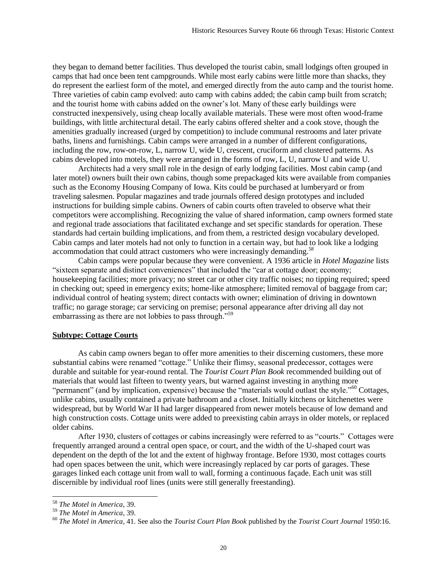they began to demand better facilities. Thus developed the tourist cabin, small lodgings often grouped in camps that had once been tent campgrounds. While most early cabins were little more than shacks, they do represent the earliest form of the motel, and emerged directly from the auto camp and the tourist home. Three varieties of cabin camp evolved: auto camp with cabins added; the cabin camp built from scratch; and the tourist home with cabins added on the owner's lot. Many of these early buildings were constructed inexpensively, using cheap locally available materials. These were most often wood-frame buildings, with little architectural detail. The early cabins offered shelter and a cook stove, though the amenities gradually increased (urged by competition) to include communal restrooms and later private baths, linens and furnishings. Cabin camps were arranged in a number of different configurations, including the row, row-on-row, L, narrow U, wide U, crescent, cruciform and clustered patterns. As cabins developed into motels, they were arranged in the forms of row, L, U, narrow U and wide U.

Architects had a very small role in the design of early lodging facilities. Most cabin camp (and later motel) owners built their own cabins, though some prepackaged kits were available from companies such as the Economy Housing Company of Iowa. Kits could be purchased at lumberyard or from traveling salesmen. Popular magazines and trade journals offered design prototypes and included instructions for building simple cabins. Owners of cabin courts often traveled to observe what their competitors were accomplishing. Recognizing the value of shared information, camp owners formed state and regional trade associations that facilitated exchange and set specific standards for operation. These standards had certain building implications, and from them, a restricted design vocabulary developed. Cabin camps and later motels had not only to function in a certain way, but had to look like a lodging accommodation that could attract customers who were increasingly demanding.<sup>58</sup>

Cabin camps were popular because they were convenient. A 1936 article in *Hotel Magazine* lists "sixteen separate and distinct conveniences" that included the "car at cottage door; economy; housekeeping facilities; more privacy; no street car or other city traffic noises; no tipping required; speed in checking out; speed in emergency exits; home-like atmosphere; limited removal of baggage from car; individual control of heating system; direct contacts with owner; elimination of driving in downtown traffic; no garage storage; car servicing on premise; personal appearance after driving all day not embarrassing as there are not lobbies to pass through."<sup>59</sup>

# **Subtype: Cottage Courts**

As cabin camp owners began to offer more amenities to their discerning customers, these more substantial cabins were renamed "cottage." Unlike their flimsy, seasonal predecessor, cottages were durable and suitable for year-round rental. The *Tourist Court Plan Book* recommended building out of materials that would last fifteen to twenty years, but warned against investing in anything more "permanent" (and by implication, expensive) because the "materials would outlast the style."<sup>60</sup> Cottages, unlike cabins, usually contained a private bathroom and a closet. Initially kitchens or kitchenettes were widespread, but by World War II had larger disappeared from newer motels because of low demand and high construction costs. Cottage units were added to preexisting cabin arrays in older motels, or replaced older cabins.

After 1930, clusters of cottages or cabins increasingly were referred to as "courts." Cottages were frequently arranged around a central open space, or court, and the width of the U-shaped court was dependent on the depth of the lot and the extent of highway frontage. Before 1930, most cottages courts had open spaces between the unit, which were increasingly replaced by car ports of garages. These garages linked each cottage unit from wall to wall, forming a continuous façade. Each unit was still discernible by individual roof lines (units were still generally freestanding).

<sup>58</sup> *The Motel in America*, 39.

<sup>59</sup> *The Motel in America*, 39.

<sup>60</sup> *The Motel in America*, 41. See also the *Tourist Court Plan Book* published by the *Tourist Court Journal* 1950:16.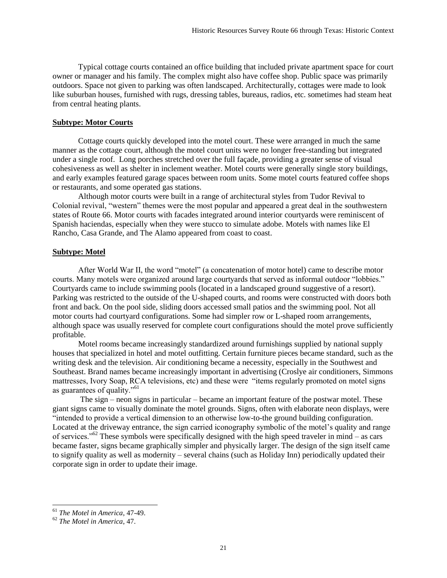Typical cottage courts contained an office building that included private apartment space for court owner or manager and his family. The complex might also have coffee shop. Public space was primarily outdoors. Space not given to parking was often landscaped. Architecturally, cottages were made to look like suburban houses, furnished with rugs, dressing tables, bureaus, radios, etc. sometimes had steam heat from central heating plants.

# **Subtype: Motor Courts**

Cottage courts quickly developed into the motel court. These were arranged in much the same manner as the cottage court, although the motel court units were no longer free-standing but integrated under a single roof. Long porches stretched over the full façade, providing a greater sense of visual cohesiveness as well as shelter in inclement weather. Motel courts were generally single story buildings, and early examples featured garage spaces between room units. Some motel courts featured coffee shops or restaurants, and some operated gas stations.

Although motor courts were built in a range of architectural styles from Tudor Revival to Colonial revival, "western" themes were the most popular and appeared a great deal in the southwestern states of Route 66. Motor courts with facades integrated around interior courtyards were reminiscent of Spanish haciendas, especially when they were stucco to simulate adobe. Motels with names like El Rancho, Casa Grande, and The Alamo appeared from coast to coast.

# **Subtype: Motel**

After World War II, the word "motel" (a concatenation of motor hotel) came to describe motor courts. Many motels were organized around large courtyards that served as informal outdoor "lobbies." Courtyards came to include swimming pools (located in a landscaped ground suggestive of a resort). Parking was restricted to the outside of the U-shaped courts, and rooms were constructed with doors both front and back. On the pool side, sliding doors accessed small patios and the swimming pool. Not all motor courts had courtyard configurations. Some had simpler row or L-shaped room arrangements, although space was usually reserved for complete court configurations should the motel prove sufficiently profitable.

Motel rooms became increasingly standardized around furnishings supplied by national supply houses that specialized in hotel and motel outfitting. Certain furniture pieces became standard, such as the writing desk and the television. Air conditioning became a necessity, especially in the Southwest and Southeast. Brand names became increasingly important in advertising (Croslye air conditioners, Simmons mattresses, Ivory Soap, RCA televisions, etc) and these were "items regularly promoted on motel signs as guarantees of quality."<sup>61</sup>

The sign – neon signs in particular – became an important feature of the postwar motel. These giant signs came to visually dominate the motel grounds. Signs, often with elaborate neon displays, were "intended to provide a vertical dimension to an otherwise low-to-the ground building configuration. Located at the driveway entrance, the sign carried iconography symbolic of the motel's quality and range of services."<sup>62</sup> These symbols were specifically designed with the high speed traveler in mind – as cars became faster, signs became graphically simpler and physically larger. The design of the sign itself came to signify quality as well as modernity – several chains (such as Holiday Inn) periodically updated their corporate sign in order to update their image.

<sup>61</sup> *The Motel in America*, 47-49.

<sup>62</sup> *The Motel in America*, 47.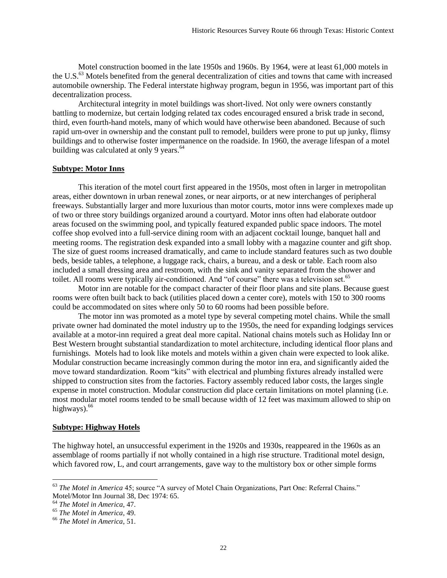Motel construction boomed in the late 1950s and 1960s. By 1964, were at least 61,000 motels in the U.S.<sup>63</sup> Motels benefited from the general decentralization of cities and towns that came with increased automobile ownership. The Federal interstate highway program, begun in 1956, was important part of this decentralization process.

Architectural integrity in motel buildings was short-lived. Not only were owners constantly battling to modernize, but certain lodging related tax codes encouraged ensured a brisk trade in second, third, even fourth-hand motels, many of which would have otherwise been abandoned. Because of such rapid urn-over in ownership and the constant pull to remodel, builders were prone to put up junky, flimsy buildings and to otherwise foster impermanence on the roadside. In 1960, the average lifespan of a motel building was calculated at only 9 years.<sup>64</sup>

# **Subtype: Motor Inns**

This iteration of the motel court first appeared in the 1950s, most often in larger in metropolitan areas, either downtown in urban renewal zones, or near airports, or at new interchanges of peripheral freeways. Substantially larger and more luxurious than motor courts, motor inns were complexes made up of two or three story buildings organized around a courtyard. Motor inns often had elaborate outdoor areas focused on the swimming pool, and typically featured expanded public space indoors. The motel coffee shop evolved into a full-service dining room with an adjacent cocktail lounge, banquet hall and meeting rooms. The registration desk expanded into a small lobby with a magazine counter and gift shop. The size of guest rooms increased dramatically, and came to include standard features such as two double beds, beside tables, a telephone, a luggage rack, chairs, a bureau, and a desk or table. Each room also included a small dressing area and restroom, with the sink and vanity separated from the shower and toilet. All rooms were typically air-conditioned. And "of course" there was a television set.<sup>65</sup>

Motor inn are notable for the compact character of their floor plans and site plans. Because guest rooms were often built back to back (utilities placed down a center core), motels with 150 to 300 rooms could be accommodated on sites where only 50 to 60 rooms had been possible before.

The motor inn was promoted as a motel type by several competing motel chains. While the small private owner had dominated the motel industry up to the 1950s, the need for expanding lodgings services available at a motor-inn required a great deal more capital. National chains motels such as Holiday Inn or Best Western brought substantial standardization to motel architecture, including identical floor plans and furnishings. Motels had to look like motels and motels within a given chain were expected to look alike. Modular construction became increasingly common during the motor inn era, and significantly aided the move toward standardization. Room "kits" with electrical and plumbing fixtures already installed were shipped to construction sites from the factories. Factory assembly reduced labor costs, the larges single expense in motel construction. Modular construction did place certain limitations on motel planning (i.e. most modular motel rooms tended to be small because width of 12 feet was maximum allowed to ship on highways). $66$ 

# **Subtype: Highway Hotels**

The highway hotel, an unsuccessful experiment in the 1920s and 1930s, reappeared in the 1960s as an assemblage of rooms partially if not wholly contained in a high rise structure. Traditional motel design, which favored row, L, and court arrangements, gave way to the multistory box or other simple forms

<sup>63</sup> *The Motel in America* 45; source "A survey of Motel Chain Organizations, Part One: Referral Chains." Motel/Motor Inn Journal 38, Dec 1974: 65.

<sup>64</sup> *The Motel in America*, 47.

<sup>65</sup> *The Motel in America*, 49.

<sup>66</sup> *The Motel in America*, 51.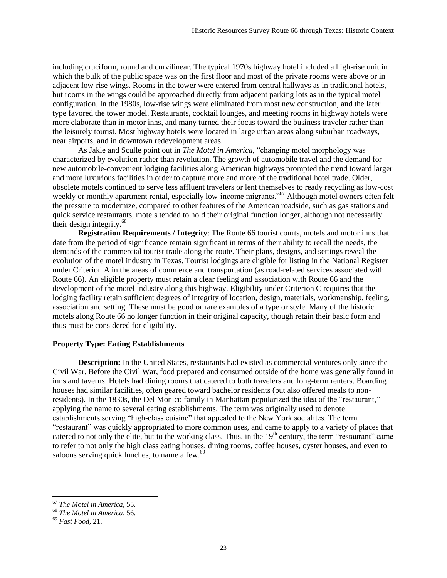including cruciform, round and curvilinear. The typical 1970s highway hotel included a high-rise unit in which the bulk of the public space was on the first floor and most of the private rooms were above or in adjacent low-rise wings. Rooms in the tower were entered from central hallways as in traditional hotels, but rooms in the wings could be approached directly from adjacent parking lots as in the typical motel configuration. In the 1980s, low-rise wings were eliminated from most new construction, and the later type favored the tower model. Restaurants, cocktail lounges, and meeting rooms in highway hotels were more elaborate than in motor inns, and many turned their focus toward the business traveler rather than the leisurely tourist. Most highway hotels were located in large urban areas along suburban roadways, near airports, and in downtown redevelopment areas.

As Jakle and Sculle point out in *The Motel in America*, "changing motel morphology was characterized by evolution rather than revolution. The growth of automobile travel and the demand for new automobile-convenient lodging facilities along American highways prompted the trend toward larger and more luxurious facilities in order to capture more and more of the traditional hotel trade. Older, obsolete motels continued to serve less affluent travelers or lent themselves to ready recycling as low-cost weekly or monthly apartment rental, especially low-income migrants."<sup>67</sup> Although motel owners often felt the pressure to modernize, compared to other features of the American roadside, such as gas stations and quick service restaurants, motels tended to hold their original function longer, although not necessarily their design integrity.<sup>68</sup>

**Registration Requirements / Integrity**: The Route 66 tourist courts, motels and motor inns that date from the period of significance remain significant in terms of their ability to recall the needs, the demands of the commercial tourist trade along the route. Their plans, designs, and settings reveal the evolution of the motel industry in Texas. Tourist lodgings are eligible for listing in the National Register under Criterion A in the areas of commerce and transportation (as road-related services associated with Route 66). An eligible property must retain a clear feeling and association with Route 66 and the development of the motel industry along this highway. Eligibility under Criterion C requires that the lodging facility retain sufficient degrees of integrity of location, design, materials, workmanship, feeling, association and setting. These must be good or rare examples of a type or style. Many of the historic motels along Route 66 no longer function in their original capacity, though retain their basic form and thus must be considered for eligibility.

# **Property Type: Eating Establishments**

**Description:** In the United States, restaurants had existed as commercial ventures only since the Civil War. Before the Civil War, food prepared and consumed outside of the home was generally found in inns and taverns. Hotels had dining rooms that catered to both travelers and long-term renters. Boarding houses had similar facilities, often geared toward bachelor residents (but also offered meals to nonresidents). In the 1830s, the Del Monico family in Manhattan popularized the idea of the "restaurant," applying the name to several eating establishments. The term was originally used to denote establishments serving "high-class cuisine" that appealed to the New York socialites. The term "restaurant" was quickly appropriated to more common uses, and came to apply to a variety of places that catered to not only the elite, but to the working class. Thus, in the  $19<sup>th</sup>$  century, the term "restaurant" came to refer to not only the high class eating houses, dining rooms, coffee houses, oyster houses, and even to saloons serving quick lunches, to name a few.<sup>69</sup>

<sup>67</sup> *The Motel in America*, 55.

<sup>68</sup> *The Motel in America*, 56.

<sup>69</sup> *Fast Food,* 21.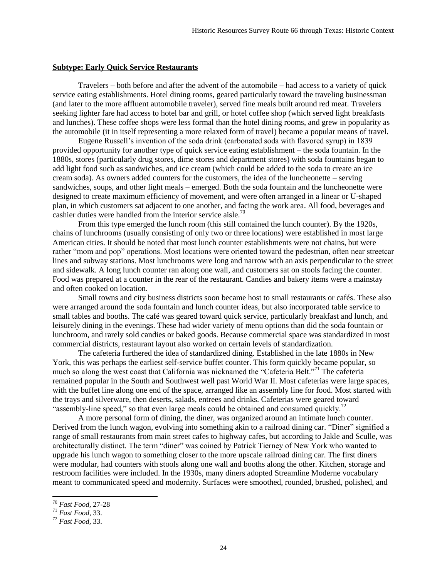#### **Subtype: Early Quick Service Restaurants**

Travelers – both before and after the advent of the automobile – had access to a variety of quick service eating establishments. Hotel dining rooms, geared particularly toward the traveling businessman (and later to the more affluent automobile traveler), served fine meals built around red meat. Travelers seeking lighter fare had access to hotel bar and grill, or hotel coffee shop (which served light breakfasts and lunches). These coffee shops were less formal than the hotel dining rooms, and grew in popularity as the automobile (it in itself representing a more relaxed form of travel) became a popular means of travel.

Eugene Russell's invention of the soda drink (carbonated soda with flavored syrup) in 1839 provided opportunity for another type of quick service eating establishment – the soda fountain. In the 1880s, stores (particularly drug stores, dime stores and department stores) with soda fountains began to add light food such as sandwiches, and ice cream (which could be added to the soda to create an ice cream soda). As owners added counters for the customers, the idea of the luncheonette – serving sandwiches, soups, and other light meals – emerged. Both the soda fountain and the luncheonette were designed to create maximum efficiency of movement, and were often arranged in a linear or U-shaped plan, in which customers sat adjacent to one another, and facing the work area. All food, beverages and cashier duties were handled from the interior service aisle.<sup>70</sup>

From this type emerged the lunch room (this still contained the lunch counter). By the 1920s, chains of lunchrooms (usually consisting of only two or three locations) were established in most large American cities. It should be noted that most lunch counter establishments were not chains, but were rather "mom and pop" operations. Most locations were oriented toward the pedestrian, often near streetcar lines and subway stations. Most lunchrooms were long and narrow with an axis perpendicular to the street and sidewalk. A long lunch counter ran along one wall, and customers sat on stools facing the counter. Food was prepared at a counter in the rear of the restaurant. Candies and bakery items were a mainstay and often cooked on location.

Small towns and city business districts soon became host to small restaurants or cafés. These also were arranged around the soda fountain and lunch counter ideas, but also incorporated table service to small tables and booths. The café was geared toward quick service, particularly breakfast and lunch, and leisurely dining in the evenings. These had wider variety of menu options than did the soda fountain or lunchroom, and rarely sold candies or baked goods. Because commercial space was standardized in most commercial districts, restaurant layout also worked on certain levels of standardization.

The cafeteria furthered the idea of standardized dining. Established in the late 1880s in New York, this was perhaps the earliest self-service buffet counter. This form quickly became popular, so much so along the west coast that California was nicknamed the "Cafeteria Belt."<sup>71</sup> The cafeteria remained popular in the South and Southwest well past World War II. Most cafeterias were large spaces, with the buffet line along one end of the space, arranged like an assembly line for food. Most started with the trays and silverware, then deserts, salads, entrees and drinks. Cafeterias were geared toward "assembly-line speed," so that even large meals could be obtained and consumed quickly.<sup>72</sup>

A more personal form of dining, the diner, was organized around an intimate lunch counter. Derived from the lunch wagon, evolving into something akin to a railroad dining car. "Diner" signified a range of small restaurants from main street cafes to highway cafes, but according to Jakle and Sculle, was architecturally distinct. The term "diner" was coined by Patrick Tierney of New York who wanted to upgrade his lunch wagon to something closer to the more upscale railroad dining car. The first diners were modular, had counters with stools along one wall and booths along the other. Kitchen, storage and restroom facilities were included. In the 1930s, many diners adopted Streamline Moderne vocabulary meant to communicated speed and modernity. Surfaces were smoothed, rounded, brushed, polished, and

<sup>70</sup> *Fast Food,* 27-28

<sup>71</sup> *Fast Food,* 33.

<sup>72</sup> *Fast Food,* 33.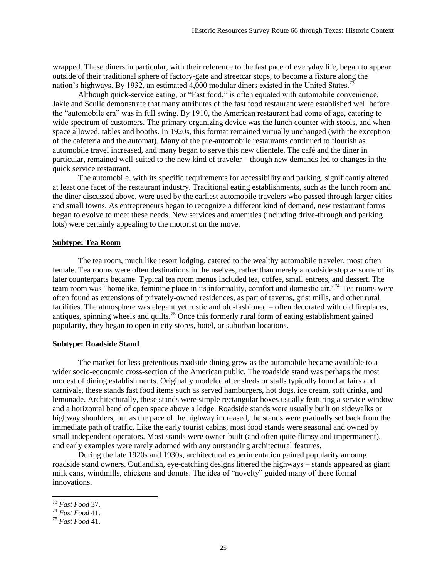wrapped. These diners in particular, with their reference to the fast pace of everyday life, began to appear outside of their traditional sphere of factory-gate and streetcar stops, to become a fixture along the nation's highways. By 1932, an estimated 4,000 modular diners existed in the United States.<sup>7</sup>

Although quick-service eating, or "Fast food," is often equated with automobile convenience, Jakle and Sculle demonstrate that many attributes of the fast food restaurant were established well before the "automobile era" was in full swing. By 1910, the American restaurant had come of age, catering to wide spectrum of customers. The primary organizing device was the lunch counter with stools, and when space allowed, tables and booths. In 1920s, this format remained virtually unchanged (with the exception of the cafeteria and the automat). Many of the pre-automobile restaurants continued to flourish as automobile travel increased, and many began to serve this new clientele. The café and the diner in particular, remained well-suited to the new kind of traveler – though new demands led to changes in the quick service restaurant.

The automobile, with its specific requirements for accessibility and parking, significantly altered at least one facet of the restaurant industry. Traditional eating establishments, such as the lunch room and the diner discussed above, were used by the earliest automobile travelers who passed through larger cities and small towns. As entrepreneurs began to recognize a different kind of demand, new restaurant forms began to evolve to meet these needs. New services and amenities (including drive-through and parking lots) were certainly appealing to the motorist on the move.

# **Subtype: Tea Room**

The tea room, much like resort lodging, catered to the wealthy automobile traveler, most often female. Tea rooms were often destinations in themselves, rather than merely a roadside stop as some of its later counterparts became. Typical tea room menus included tea, coffee, small entrees, and dessert. The team room was "homelike, feminine place in its informality, comfort and domestic air."<sup>74</sup> Tea rooms were often found as extensions of privately-owned residences, as part of taverns, grist mills, and other rural facilities. The atmosphere was elegant yet rustic and old-fashioned – often decorated with old fireplaces, antiques, spinning wheels and quilts.<sup>75</sup> Once this formerly rural form of eating establishment gained popularity, they began to open in city stores, hotel, or suburban locations.

#### **Subtype: Roadside Stand**

The market for less pretentious roadside dining grew as the automobile became available to a wider socio-economic cross-section of the American public. The roadside stand was perhaps the most modest of dining establishments. Originally modeled after sheds or stalls typically found at fairs and carnivals, these stands fast food items such as served hamburgers, hot dogs, ice cream, soft drinks, and lemonade. Architecturally, these stands were simple rectangular boxes usually featuring a service window and a horizontal band of open space above a ledge. Roadside stands were usually built on sidewalks or highway shoulders, but as the pace of the highway increased, the stands were gradually set back from the immediate path of traffic. Like the early tourist cabins, most food stands were seasonal and owned by small independent operators. Most stands were owner-built (and often quite flimsy and impermanent), and early examples were rarely adorned with any outstanding architectural features.

During the late 1920s and 1930s, architectural experimentation gained popularity amoung roadside stand owners. Outlandish, eye-catching designs littered the highways – stands appeared as giant milk cans, windmills, chickens and donuts. The idea of "novelty" guided many of these formal innovations.

<sup>73</sup> *Fast Food* 37.

<sup>74</sup> *Fast Food* 41.

<sup>75</sup> *Fast Food* 41.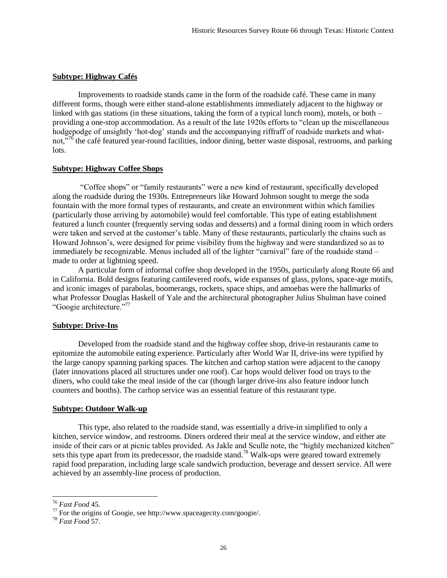# **Subtype: Highway Cafés**

Improvements to roadside stands came in the form of the roadside café. These came in many different forms, though were either stand-alone establishments immediately adjacent to the highway or linked with gas stations (in these situations, taking the form of a typical lunch room), motels, or both – providing a one-stop accommodation. As a result of the late 1920s efforts to "clean up the miscellaneous hodgepodge of unsightly 'hot-dog' stands and the accompanying riffraff of roadside markets and whatnot,<sup>576</sup> the café featured year-round facilities, indoor dining, better waste disposal, restrooms, and parking lots.

# **Subtype: Highway Coffee Shops**

"Coffee shops" or "family restaurants" were a new kind of restaurant, specifically developed along the roadside during the 1930s. Entrepreneurs like Howard Johnson sought to merge the soda fountain with the more formal types of restaurants, and create an environment within which families (particularly those arriving by automobile) would feel comfortable. This type of eating establishment featured a lunch counter (frequently serving sodas and desserts) and a formal dining room in which orders were taken and served at the customer's table. Many of these restaurants, particularly the chains such as Howard Johnson's, were designed for prime visibility from the highway and were standardized so as to immediately be recognizable. Menus included all of the lighter "carnival" fare of the roadside stand – made to order at lightning speed.

A particular form of informal coffee shop developed in the 1950s, particularly along Route 66 and in California. Bold designs featuring cantilevered roofs, wide expanses of glass, pylons, space-age motifs, and iconic images of parabolas, boomerangs, rockets, space ships, and amoebas were the hallmarks of what Professor Douglas Haskell of Yale and the architectural photographer Julius Shulman have coined "Googie architecture."<sup>77</sup>

#### **Subtype: Drive-Ins**

Developed from the roadside stand and the highway coffee shop, drive-in restaurants came to epitomize the automobile eating experience. Particularly after World War II, drive-ins were typified by the large canopy spanning parking spaces. The kitchen and carhop station were adjacent to the canopy (later innovations placed all structures under one roof). Car hops would deliver food on trays to the diners, who could take the meal inside of the car (though larger drive-ins also feature indoor lunch counters and booths). The carhop service was an essential feature of this restaurant type.

# **Subtype: Outdoor Walk-up**

This type, also related to the roadside stand, was essentially a drive-in simplified to only a kitchen, service window, and restrooms. Diners ordered their meal at the service window, and either ate inside of their cars or at picnic tables provided. As Jakle and Sculle note, the "highly mechanized kitchen" sets this type apart from its predecessor, the roadside stand.<sup>78</sup> Walk-ups were geared toward extremely rapid food preparation, including large scale sandwich production, beverage and dessert service. All were achieved by an assembly-line process of production.

<sup>76</sup> *Fast Food* 45.

 $77$  For the origins of Googie, see http://www.spaceagecity.com/googie/.

<sup>78</sup> *Fast Food* 57.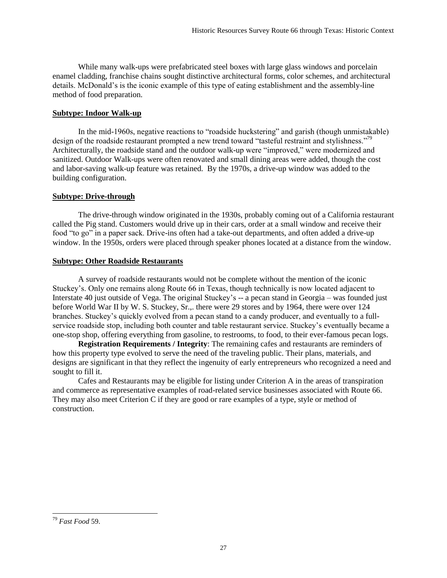While many walk-ups were prefabricated steel boxes with large glass windows and porcelain enamel cladding, franchise chains sought distinctive architectural forms, color schemes, and architectural details. McDonald's is the iconic example of this type of eating establishment and the assembly-line method of food preparation.

# **Subtype: Indoor Walk-up**

In the mid-1960s, negative reactions to "roadside huckstering" and garish (though unmistakable) design of the roadside restaurant prompted a new trend toward "tasteful restraint and stylishness."<sup>79</sup> Architecturally, the roadside stand and the outdoor walk-up were "improved," were modernized and sanitized. Outdoor Walk-ups were often renovated and small dining areas were added, though the cost and labor-saving walk-up feature was retained. By the 1970s, a drive-up window was added to the building configuration.

# **Subtype: Drive-through**

The drive-through window originated in the 1930s, probably coming out of a California restaurant called the Pig stand. Customers would drive up in their cars, order at a small window and receive their food "to go" in a paper sack. Drive-ins often had a take-out departments, and often added a drive-up window. In the 1950s, orders were placed through speaker phones located at a distance from the window.

# **Subtype: Other Roadside Restaurants**

A survey of roadside restaurants would not be complete without the mention of the iconic Stuckey's. Only one remains along Route 66 in Texas, though technically is now located adjacent to Interstate 40 just outside of Vega. The original Stuckey's -- a pecan stand in Georgia – was founded just before World War II by W. S. Stuckey, Sr.,. there were 29 stores and by 1964, there were over 124 branches. Stuckey's quickly evolved from a pecan stand to a candy producer, and eventually to a fullservice roadside stop, including both counter and table restaurant service. Stuckey's eventually became a one-stop shop, offering everything from gasoline, to restrooms, to food, to their ever-famous pecan logs.

**Registration Requirements / Integrity**: The remaining cafes and restaurants are reminders of how this property type evolved to serve the need of the traveling public. Their plans, materials, and designs are significant in that they reflect the ingenuity of early entrepreneurs who recognized a need and sought to fill it.

Cafes and Restaurants may be eligible for listing under Criterion A in the areas of transpiration and commerce as representative examples of road-related service businesses associated with Route 66. They may also meet Criterion C if they are good or rare examples of a type, style or method of construction.

 $\overline{\phantom{a}}$ <sup>79</sup> *Fast Food* 59.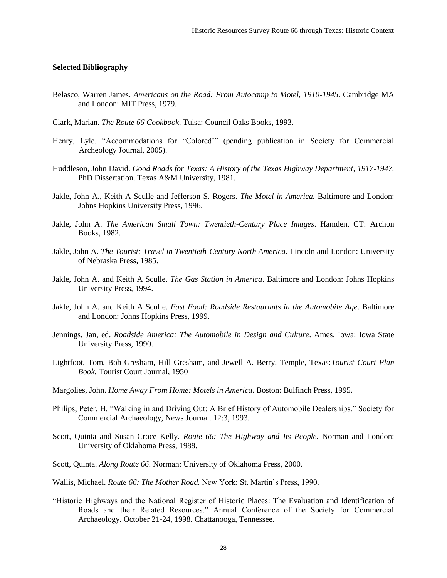# **Selected Bibliography**

- Belasco, Warren James. *Americans on the Road: From Autocamp to Motel, 1910-1945*. Cambridge MA and London: MIT Press, 1979.
- Clark, Marian. *The Route 66 Cookbook*. Tulsa: Council Oaks Books, 1993.
- Henry, Lyle. "Accommodations for "Colored'" (pending publication in Society for Commercial Archeology Journal, 2005).
- Huddleson, John David. *Good Roads for Texas: A History of the Texas Highway Department, 1917-1947.*  PhD Dissertation. Texas A&M University, 1981.
- Jakle, John A., Keith A Sculle and Jefferson S. Rogers. *The Motel in America.* Baltimore and London: Johns Hopkins University Press, 1996.
- Jakle, John A. *The American Small Town: Twentieth-Century Place Images*. Hamden, CT: Archon Books, 1982.
- Jakle, John A. *The Tourist: Travel in Twentieth-Century North America*. Lincoln and London: University of Nebraska Press, 1985.
- Jakle, John A. and Keith A Sculle. *The Gas Station in America*. Baltimore and London: Johns Hopkins University Press, 1994.
- Jakle, John A. and Keith A Sculle. *Fast Food: Roadside Restaurants in the Automobile Age*. Baltimore and London: Johns Hopkins Press, 1999.
- Jennings, Jan, ed. *Roadside America: The Automobile in Design and Culture*. Ames, Iowa: Iowa State University Press, 1990.
- Lightfoot, Tom, Bob Gresham, Hill Gresham, and Jewell A. Berry. Temple, Texas:*Tourist Court Plan Book.* Tourist Court Journal, 1950
- Margolies, John. *Home Away From Home: Motels in America*. Boston: Bulfinch Press, 1995.
- Philips, Peter. H. "Walking in and Driving Out: A Brief History of Automobile Dealerships." Society for Commercial Archaeology, News Journal. 12:3, 1993.
- Scott, Quinta and Susan Croce Kelly. *Route 66: The Highway and Its People.* Norman and London: University of Oklahoma Press, 1988.
- Scott, Quinta. *Along Route 66*. Norman: University of Oklahoma Press, 2000.
- Wallis, Michael. *Route 66: The Mother Road.* New York: St. Martin's Press, 1990.
- "Historic Highways and the National Register of Historic Places: The Evaluation and Identification of Roads and their Related Resources." Annual Conference of the Society for Commercial Archaeology. October 21-24, 1998. Chattanooga, Tennessee.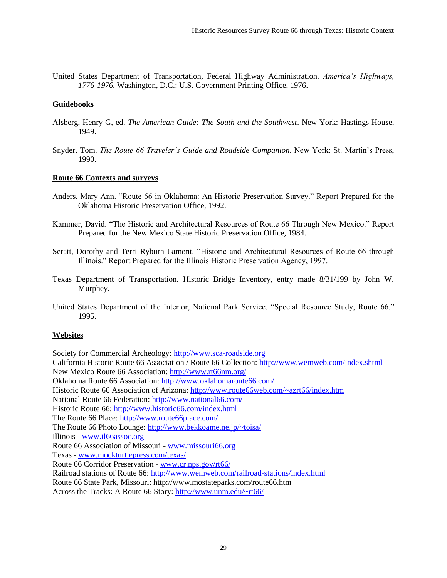United States Department of Transportation, Federal Highway Administration. *America's Highways, 1776-1976.* Washington, D.C.: U.S. Government Printing Office, 1976.

# **Guidebooks**

- Alsberg, Henry G, ed. *The American Guide: The South and the Southwest*. New York: Hastings House, 1949.
- Snyder, Tom. *The Route 66 Traveler's Guide and Roadside Companion*. New York: St. Martin's Press, 1990.

# **Route 66 Contexts and surveys**

- Anders, Mary Ann. "Route 66 in Oklahoma: An Historic Preservation Survey." Report Prepared for the Oklahoma Historic Preservation Office, 1992.
- Kammer, David. "The Historic and Architectural Resources of Route 66 Through New Mexico." Report Prepared for the New Mexico State Historic Preservation Office, 1984.
- Seratt, Dorothy and Terri Ryburn-Lamont. "Historic and Architectural Resources of Route 66 through Illinois." Report Prepared for the Illinois Historic Preservation Agency, 1997.
- Texas Department of Transportation. Historic Bridge Inventory, entry made 8/31/199 by John W. Murphey.
- United States Department of the Interior, National Park Service. "Special Resource Study, Route 66." 1995.

# **Websites**

Society for Commercial Archeology: [http://www.sca-roadside.org](http://www.sca-roadside.org/)

California Historic Route 66 Association / Route 66 Collection:<http://www.wemweb.com/index.shtml> New Mexico Route 66 Association:<http://www.rt66nm.org/>

Oklahoma Route 66 Association:<http://www.oklahomaroute66.com/>

Historic Route 66 Association of Arizona:<http://www.route66web.com/~azrt66/index.htm>

National Route 66 Federation:<http://www.national66.com/>

Historic Route 66:<http://www.historic66.com/index.html>

Illinois - [www.il66assoc.org](http://www.il66assoc.org/)

Route 66 Association of Missouri - [www.missouri66.org](http://www.missouri66.org/)

Texas - [www.mockturtlepress.com/texas/](http://www.mockturtlepress.com/texas/)

Route 66 Corridor Preservation - [www.cr.nps.gov/rt66/](http://www.cr.nps.gov/rt66/)

Railroad stations of Route 66[: http://www.wemweb.com/railroad-stations/index.html](http://www.wemweb.com/railroad-stations/index.html)

Route 66 State Park, Missouri: http://www.mostateparks.com/route66.htm

Across the Tracks: A Route 66 Story:<http://www.unm.edu/~rt66/>

The Route 66 Place:<http://www.route66place.com/>

The Route 66 Photo Lounge:<http://www.bekkoame.ne.jp/~toisa/>